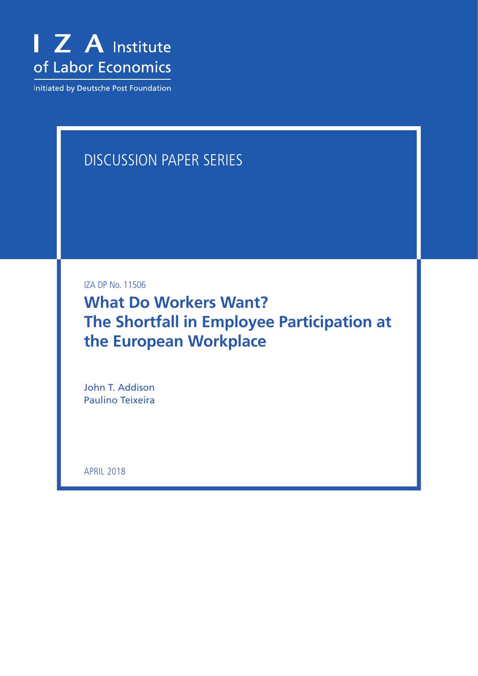

Initiated by Deutsche Post Foundation

## DISCUSSION PAPER SERIES

IZA DP No. 11506

**What Do Workers Want? The Shortfall in Employee Participation at the European Workplace**

John T. Addison Paulino Teixeira

APRIL 2018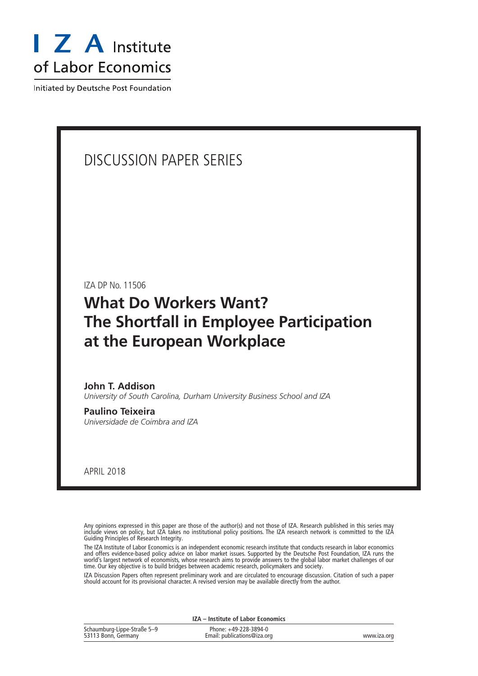

Initiated by Deutsche Post Foundation

### DISCUSSION PAPER SERIES

IZA DP No. 11506

## **What Do Workers Want? The Shortfall in Employee Participation at the European Workplace**

**John T. Addison** *University of South Carolina, Durham University Business School and IZA*

**Paulino Teixeira** *Universidade de Coimbra and IZA*

APRIL 2018

Any opinions expressed in this paper are those of the author(s) and not those of IZA. Research published in this series may include views on policy, but IZA takes no institutional policy positions. The IZA research network is committed to the IZA Guiding Principles of Research Integrity.

The IZA Institute of Labor Economics is an independent economic research institute that conducts research in labor economics and offers evidence-based policy advice on labor market issues. Supported by the Deutsche Post Foundation, IZA runs the world's largest network of economists, whose research aims to provide answers to the global labor market challenges of our time. Our key objective is to build bridges between academic research, policymakers and society.

IZA Discussion Papers often represent preliminary work and are circulated to encourage discussion. Citation of such a paper should account for its provisional character. A revised version may be available directly from the author.

| IZA – Institute of Labor Economics                 |                                                      |             |  |  |  |
|----------------------------------------------------|------------------------------------------------------|-------------|--|--|--|
| Schaumburg-Lippe-Straße 5-9<br>53113 Bonn, Germany | Phone: +49-228-3894-0<br>Email: publications@iza.org | www.iza.org |  |  |  |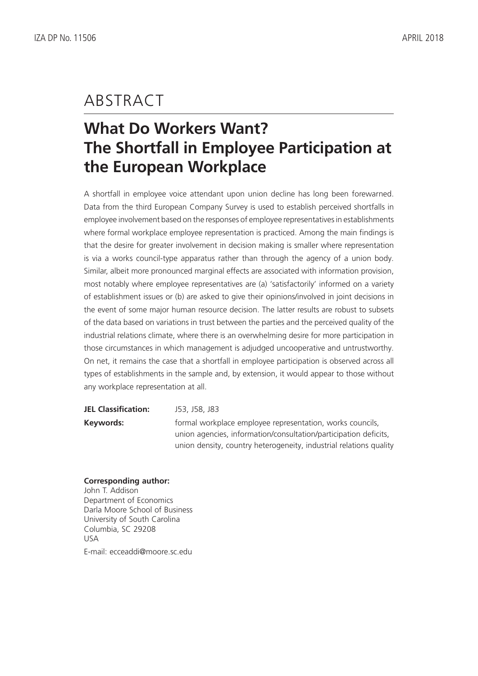## ABSTRACT

# **What Do Workers Want? The Shortfall in Employee Participation at the European Workplace**

A shortfall in employee voice attendant upon union decline has long been forewarned. Data from the third European Company Survey is used to establish perceived shortfalls in employee involvement based on the responses of employee representatives in establishments where formal workplace employee representation is practiced. Among the main findings is that the desire for greater involvement in decision making is smaller where representation is via a works council-type apparatus rather than through the agency of a union body. Similar, albeit more pronounced marginal effects are associated with information provision, most notably where employee representatives are (a) 'satisfactorily' informed on a variety of establishment issues or (b) are asked to give their opinions/involved in joint decisions in the event of some major human resource decision. The latter results are robust to subsets of the data based on variations in trust between the parties and the perceived quality of the industrial relations climate, where there is an overwhelming desire for more participation in those circumstances in which management is adjudged uncooperative and untrustworthy. On net, it remains the case that a shortfall in employee participation is observed across all types of establishments in the sample and, by extension, it would appear to those without any workplace representation at all.

| <b>JEL Classification:</b> | J53, J58, J83                                                      |
|----------------------------|--------------------------------------------------------------------|
| Keywords:                  | formal workplace employee representation, works councils,          |
|                            | union agencies, information/consultation/participation deficits,   |
|                            | union density, country heterogeneity, industrial relations quality |

### **Corresponding author:**

John T. Addison Department of Economics Darla Moore School of Business University of South Carolina Columbia, SC 29208 USA E-mail: ecceaddi@moore.sc.edu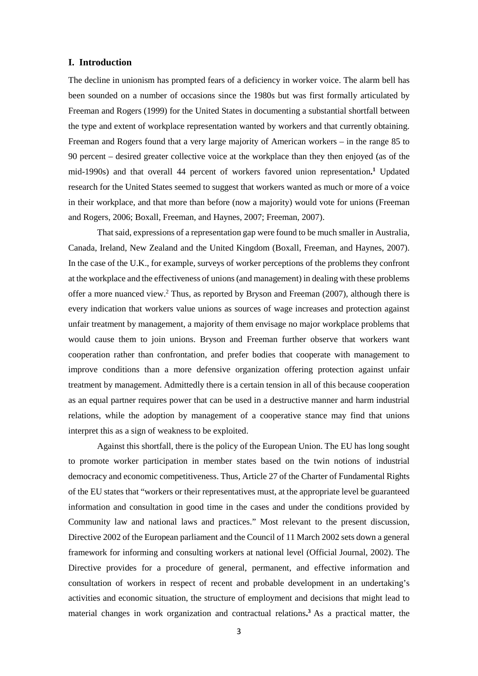#### **I. Introduction**

The decline in unionism has prompted fears of a deficiency in worker voice. The alarm bell has been sounded on a number of occasions since the 1980s but was first formally articulated by Freeman and Rogers (1999) for the United States in documenting a substantial shortfall between the type and extent of workplace representation wanted by workers and that currently obtaining. Freeman and Rogers found that a very large majority of American workers – in the range 85 to 90 percent – desired greater collective voice at the workplace than they then enjoyed (as of the mid-1990s) and that overall 44 percent of workers favored union representation**. <sup>1</sup>** Updated research for the United States seemed to suggest that workers wanted as much or more of a voice in their workplace, and that more than before (now a majority) would vote for unions (Freeman and Rogers, 2006; Boxall, Freeman, and Haynes, 2007; Freeman, 2007).

That said, expressions of a representation gap were found to be much smaller in Australia, Canada, Ireland, New Zealand and the United Kingdom (Boxall, Freeman, and Haynes, 2007). In the case of the U.K., for example, surveys of worker perceptions of the problems they confront at the workplace and the effectiveness of unions (and management) in dealing with these problems offer a more nuanced view.2 Thus, as reported by Bryson and Freeman (2007), although there is every indication that workers value unions as sources of wage increases and protection against unfair treatment by management, a majority of them envisage no major workplace problems that would cause them to join unions. Bryson and Freeman further observe that workers want cooperation rather than confrontation, and prefer bodies that cooperate with management to improve conditions than a more defensive organization offering protection against unfair treatment by management. Admittedly there is a certain tension in all of this because cooperation as an equal partner requires power that can be used in a destructive manner and harm industrial relations, while the adoption by management of a cooperative stance may find that unions interpret this as a sign of weakness to be exploited.

Against this shortfall, there is the policy of the European Union. The EU has long sought to promote worker participation in member states based on the twin notions of industrial democracy and economic competitiveness. Thus, Article 27 of the Charter of Fundamental Rights of the EU states that "workers or their representatives must, at the appropriate level be guaranteed information and consultation in good time in the cases and under the conditions provided by Community law and national laws and practices." Most relevant to the present discussion, Directive 2002 of the European parliament and the Council of 11 March 2002 sets down a general framework for informing and consulting workers at national level (Official Journal, 2002). The Directive provides for a procedure of general, permanent, and effective information and consultation of workers in respect of recent and probable development in an undertaking's activities and economic situation, the structure of employment and decisions that might lead to material changes in work organization and contractual relations**. <sup>3</sup>** As a practical matter, the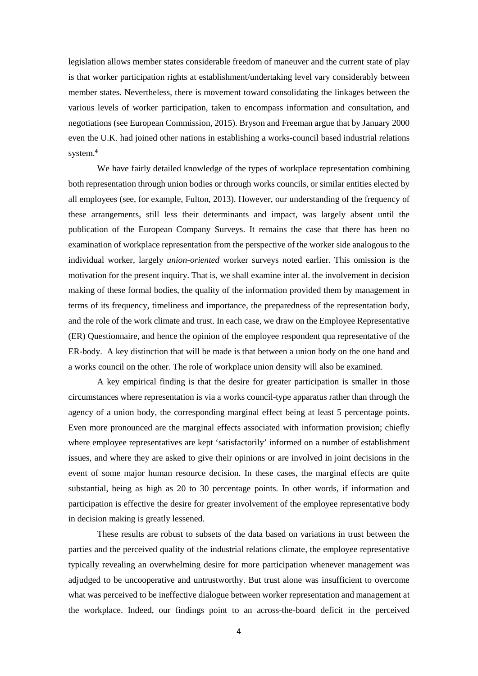legislation allows member states considerable freedom of maneuver and the current state of play is that worker participation rights at establishment/undertaking level vary considerably between member states. Nevertheless, there is movement toward consolidating the linkages between the various levels of worker participation, taken to encompass information and consultation, and negotiations (see European Commission, 2015). Bryson and Freeman argue that by January 2000 even the U.K. had joined other nations in establishing a works-council based industrial relations system.**<sup>4</sup>**

We have fairly detailed knowledge of the types of workplace representation combining both representation through union bodies or through works councils, or similar entities elected by all employees (see, for example, Fulton, 2013). However, our understanding of the frequency of these arrangements, still less their determinants and impact, was largely absent until the publication of the European Company Surveys. It remains the case that there has been no examination of workplace representation from the perspective of the worker side analogous to the individual worker, largely *union-oriented* worker surveys noted earlier. This omission is the motivation for the present inquiry. That is, we shall examine inter al. the involvement in decision making of these formal bodies, the quality of the information provided them by management in terms of its frequency, timeliness and importance, the preparedness of the representation body, and the role of the work climate and trust. In each case, we draw on the Employee Representative (ER) Questionnaire, and hence the opinion of the employee respondent qua representative of the ER-body. A key distinction that will be made is that between a union body on the one hand and a works council on the other. The role of workplace union density will also be examined.

A key empirical finding is that the desire for greater participation is smaller in those circumstances where representation is via a works council-type apparatus rather than through the agency of a union body, the corresponding marginal effect being at least 5 percentage points. Even more pronounced are the marginal effects associated with information provision; chiefly where employee representatives are kept 'satisfactorily' informed on a number of establishment issues, and where they are asked to give their opinions or are involved in joint decisions in the event of some major human resource decision. In these cases, the marginal effects are quite substantial, being as high as 20 to 30 percentage points. In other words, if information and participation is effective the desire for greater involvement of the employee representative body in decision making is greatly lessened.

These results are robust to subsets of the data based on variations in trust between the parties and the perceived quality of the industrial relations climate, the employee representative typically revealing an overwhelming desire for more participation whenever management was adjudged to be uncooperative and untrustworthy. But trust alone was insufficient to overcome what was perceived to be ineffective dialogue between worker representation and management at the workplace. Indeed, our findings point to an across-the-board deficit in the perceived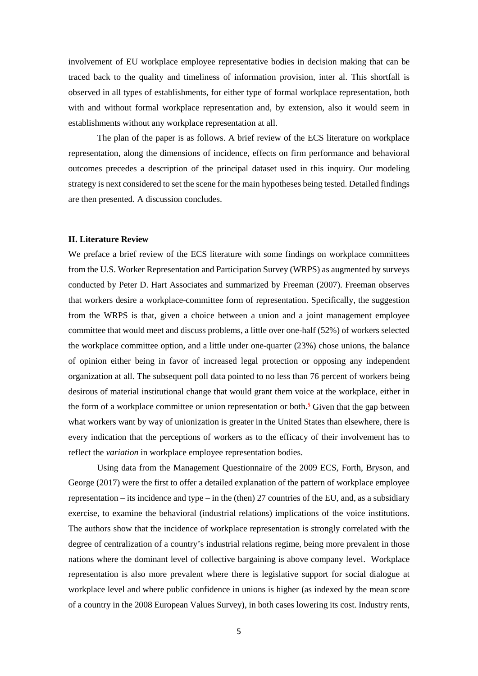involvement of EU workplace employee representative bodies in decision making that can be traced back to the quality and timeliness of information provision, inter al. This shortfall is observed in all types of establishments, for either type of formal workplace representation, both with and without formal workplace representation and, by extension, also it would seem in establishments without any workplace representation at all.

The plan of the paper is as follows. A brief review of the ECS literature on workplace representation, along the dimensions of incidence, effects on firm performance and behavioral outcomes precedes a description of the principal dataset used in this inquiry. Our modeling strategy is next considered to set the scene for the main hypotheses being tested. Detailed findings are then presented. A discussion concludes.

#### **II. Literature Review**

We preface a brief review of the ECS literature with some findings on workplace committees from the U.S. Worker Representation and Participation Survey (WRPS) as augmented by surveys conducted by Peter D. Hart Associates and summarized by Freeman (2007). Freeman observes that workers desire a workplace-committee form of representation. Specifically, the suggestion from the WRPS is that, given a choice between a union and a joint management employee committee that would meet and discuss problems, a little over one-half (52%) of workers selected the workplace committee option, and a little under one-quarter (23%) chose unions, the balance of opinion either being in favor of increased legal protection or opposing any independent organization at all. The subsequent poll data pointed to no less than 76 percent of workers being desirous of material institutional change that would grant them voice at the workplace, either in the form of a workplace committee or union representation or both**. <sup>5</sup>** Given that the gap between what workers want by way of unionization is greater in the United States than elsewhere, there is every indication that the perceptions of workers as to the efficacy of their involvement has to reflect the *variation* in workplace employee representation bodies.

Using data from the Management Questionnaire of the 2009 ECS, Forth, Bryson, and George (2017) were the first to offer a detailed explanation of the pattern of workplace employee representation – its incidence and type – in the (then) 27 countries of the EU, and, as a subsidiary exercise, to examine the behavioral (industrial relations) implications of the voice institutions. The authors show that the incidence of workplace representation is strongly correlated with the degree of centralization of a country's industrial relations regime, being more prevalent in those nations where the dominant level of collective bargaining is above company level. Workplace representation is also more prevalent where there is legislative support for social dialogue at workplace level and where public confidence in unions is higher (as indexed by the mean score of a country in the 2008 European Values Survey), in both cases lowering its cost. Industry rents,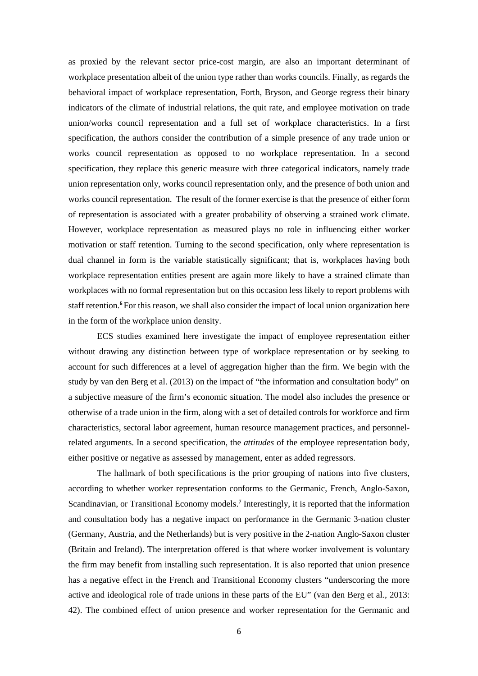as proxied by the relevant sector price-cost margin, are also an important determinant of workplace presentation albeit of the union type rather than works councils. Finally, as regards the behavioral impact of workplace representation, Forth, Bryson, and George regress their binary indicators of the climate of industrial relations, the quit rate, and employee motivation on trade union/works council representation and a full set of workplace characteristics. In a first specification, the authors consider the contribution of a simple presence of any trade union or works council representation as opposed to no workplace representation. In a second specification, they replace this generic measure with three categorical indicators, namely trade union representation only, works council representation only, and the presence of both union and works council representation. The result of the former exercise is that the presence of either form of representation is associated with a greater probability of observing a strained work climate. However, workplace representation as measured plays no role in influencing either worker motivation or staff retention. Turning to the second specification, only where representation is dual channel in form is the variable statistically significant; that is, workplaces having both workplace representation entities present are again more likely to have a strained climate than workplaces with no formal representation but on this occasion less likely to report problems with staff retention.**<sup>6</sup>** For this reason, we shall also consider the impact of local union organization here in the form of the workplace union density.

ECS studies examined here investigate the impact of employee representation either without drawing any distinction between type of workplace representation or by seeking to account for such differences at a level of aggregation higher than the firm. We begin with the study by van den Berg et al. (2013) on the impact of "the information and consultation body" on a subjective measure of the firm's economic situation. The model also includes the presence or otherwise of a trade union in the firm, along with a set of detailed controls for workforce and firm characteristics, sectoral labor agreement, human resource management practices, and personnelrelated arguments. In a second specification, the *attitudes* of the employee representation body, either positive or negative as assessed by management, enter as added regressors.

The hallmark of both specifications is the prior grouping of nations into five clusters, according to whether worker representation conforms to the Germanic, French, Anglo-Saxon, Scandinavian, or Transitional Economy models.**<sup>7</sup>** Interestingly, it is reported that the information and consultation body has a negative impact on performance in the Germanic 3-nation cluster (Germany, Austria, and the Netherlands) but is very positive in the 2-nation Anglo-Saxon cluster (Britain and Ireland). The interpretation offered is that where worker involvement is voluntary the firm may benefit from installing such representation. It is also reported that union presence has a negative effect in the French and Transitional Economy clusters "underscoring the more active and ideological role of trade unions in these parts of the EU" (van den Berg et al., 2013: 42). The combined effect of union presence and worker representation for the Germanic and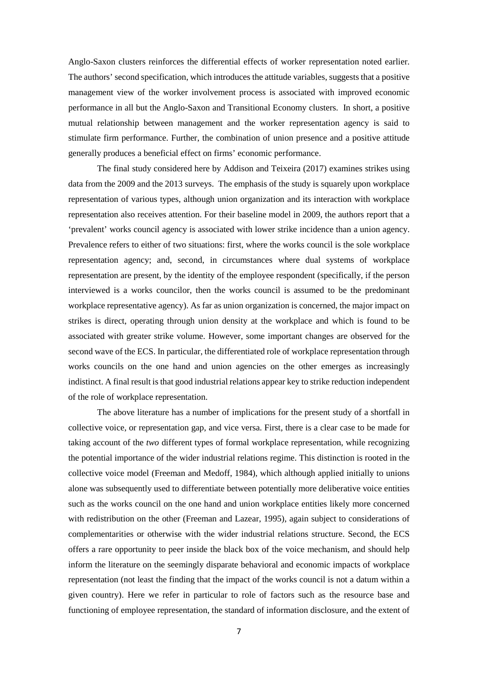Anglo-Saxon clusters reinforces the differential effects of worker representation noted earlier. The authors' second specification, which introduces the attitude variables, suggests that a positive management view of the worker involvement process is associated with improved economic performance in all but the Anglo-Saxon and Transitional Economy clusters. In short, a positive mutual relationship between management and the worker representation agency is said to stimulate firm performance. Further, the combination of union presence and a positive attitude generally produces a beneficial effect on firms' economic performance.

The final study considered here by Addison and Teixeira (2017) examines strikes using data from the 2009 and the 2013 surveys. The emphasis of the study is squarely upon workplace representation of various types, although union organization and its interaction with workplace representation also receives attention. For their baseline model in 2009, the authors report that a 'prevalent' works council agency is associated with lower strike incidence than a union agency. Prevalence refers to either of two situations: first, where the works council is the sole workplace representation agency; and, second, in circumstances where dual systems of workplace representation are present, by the identity of the employee respondent (specifically, if the person interviewed is a works councilor, then the works council is assumed to be the predominant workplace representative agency). As far as union organization is concerned, the major impact on strikes is direct, operating through union density at the workplace and which is found to be associated with greater strike volume. However, some important changes are observed for the second wave of the ECS. In particular, the differentiated role of workplace representation through works councils on the one hand and union agencies on the other emerges as increasingly indistinct. A final result is that good industrial relations appear key to strike reduction independent of the role of workplace representation.

The above literature has a number of implications for the present study of a shortfall in collective voice, or representation gap, and vice versa. First, there is a clear case to be made for taking account of the *two* different types of formal workplace representation, while recognizing the potential importance of the wider industrial relations regime. This distinction is rooted in the collective voice model (Freeman and Medoff, 1984), which although applied initially to unions alone was subsequently used to differentiate between potentially more deliberative voice entities such as the works council on the one hand and union workplace entities likely more concerned with redistribution on the other (Freeman and Lazear, 1995), again subject to considerations of complementarities or otherwise with the wider industrial relations structure. Second, the ECS offers a rare opportunity to peer inside the black box of the voice mechanism, and should help inform the literature on the seemingly disparate behavioral and economic impacts of workplace representation (not least the finding that the impact of the works council is not a datum within a given country). Here we refer in particular to role of factors such as the resource base and functioning of employee representation, the standard of information disclosure, and the extent of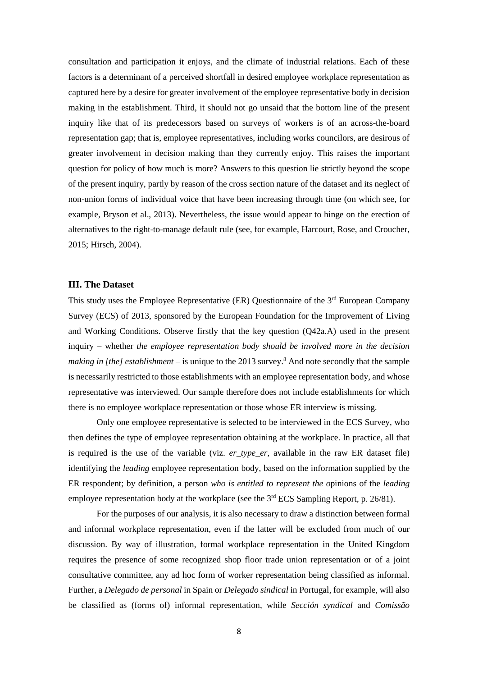consultation and participation it enjoys, and the climate of industrial relations. Each of these factors is a determinant of a perceived shortfall in desired employee workplace representation as captured here by a desire for greater involvement of the employee representative body in decision making in the establishment. Third, it should not go unsaid that the bottom line of the present inquiry like that of its predecessors based on surveys of workers is of an across-the-board representation gap; that is, employee representatives, including works councilors, are desirous of greater involvement in decision making than they currently enjoy. This raises the important question for policy of how much is more? Answers to this question lie strictly beyond the scope of the present inquiry, partly by reason of the cross section nature of the dataset and its neglect of non-union forms of individual voice that have been increasing through time (on which see, for example, Bryson et al., 2013). Nevertheless, the issue would appear to hinge on the erection of alternatives to the right-to-manage default rule (see, for example, Harcourt, Rose, and Croucher, 2015; Hirsch, 2004).

#### **III. The Dataset**

This study uses the Employee Representative (ER) Questionnaire of the 3rd European Company Survey (ECS) of 2013, sponsored by the European Foundation for the Improvement of Living and Working Conditions. Observe firstly that the key question (Q42a.A) used in the present inquiry – whether *the employee representation body should be involved more in the decision making in [the] establishment* – is unique to the 2013 survey. <sup>8</sup> And note secondly that the sample is necessarily restricted to those establishments with an employee representation body, and whose representative was interviewed. Our sample therefore does not include establishments for which there is no employee workplace representation or those whose ER interview is missing.

Only one employee representative is selected to be interviewed in the ECS Survey, who then defines the type of employee representation obtaining at the workplace. In practice, all that is required is the use of the variable (viz. *er\_type\_er*, available in the raw ER dataset file) identifying the *leading* employee representation body, based on the information supplied by the ER respondent; by definition, a person *who is entitled to represent the o*pinions of the *leading* employee representation body at the workplace (see the  $3<sup>rd</sup> ECS$  Sampling Report, p. 26/81).

For the purposes of our analysis, it is also necessary to draw a distinction between formal and informal workplace representation, even if the latter will be excluded from much of our discussion. By way of illustration, formal workplace representation in the United Kingdom requires the presence of some recognized shop floor trade union representation or of a joint consultative committee, any ad hoc form of worker representation being classified as informal. Further, a *Delegado de personal* in Spain or *Delegado sindical* in Portugal, for example, will also be classified as (forms of) informal representation, while *Sección syndical* and *Comissão*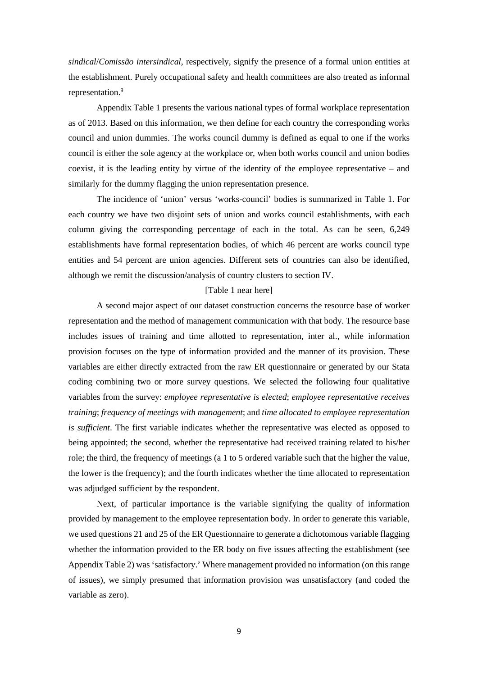*sindical*/*Comissão intersindical*, respectively, signify the presence of a formal union entities at the establishment. Purely occupational safety and health committees are also treated as informal representation.<sup>9</sup>

Appendix Table 1 presents the various national types of formal workplace representation as of 2013. Based on this information, we then define for each country the corresponding works council and union dummies. The works council dummy is defined as equal to one if the works council is either the sole agency at the workplace or, when both works council and union bodies coexist, it is the leading entity by virtue of the identity of the employee representative – and similarly for the dummy flagging the union representation presence.

The incidence of 'union' versus 'works-council' bodies is summarized in Table 1. For each country we have two disjoint sets of union and works council establishments, with each column giving the corresponding percentage of each in the total. As can be seen, 6,249 establishments have formal representation bodies, of which 46 percent are works council type entities and 54 percent are union agencies. Different sets of countries can also be identified, although we remit the discussion/analysis of country clusters to section IV.

#### [Table 1 near here]

A second major aspect of our dataset construction concerns the resource base of worker representation and the method of management communication with that body. The resource base includes issues of training and time allotted to representation, inter al., while information provision focuses on the type of information provided and the manner of its provision. These variables are either directly extracted from the raw ER questionnaire or generated by our Stata coding combining two or more survey questions. We selected the following four qualitative variables from the survey: *employee representative is elected*; *employee representative receives training*; *frequency of meetings with management*; and *time allocated to employee representation is sufficient*. The first variable indicates whether the representative was elected as opposed to being appointed; the second, whether the representative had received training related to his/her role; the third, the frequency of meetings (a 1 to 5 ordered variable such that the higher the value, the lower is the frequency); and the fourth indicates whether the time allocated to representation was adjudged sufficient by the respondent.

Next, of particular importance is the variable signifying the quality of information provided by management to the employee representation body. In order to generate this variable, we used questions 21 and 25 of the ER Questionnaire to generate a dichotomous variable flagging whether the information provided to the ER body on five issues affecting the establishment (see Appendix Table 2) was 'satisfactory.' Where management provided no information (on this range of issues), we simply presumed that information provision was unsatisfactory (and coded the variable as zero).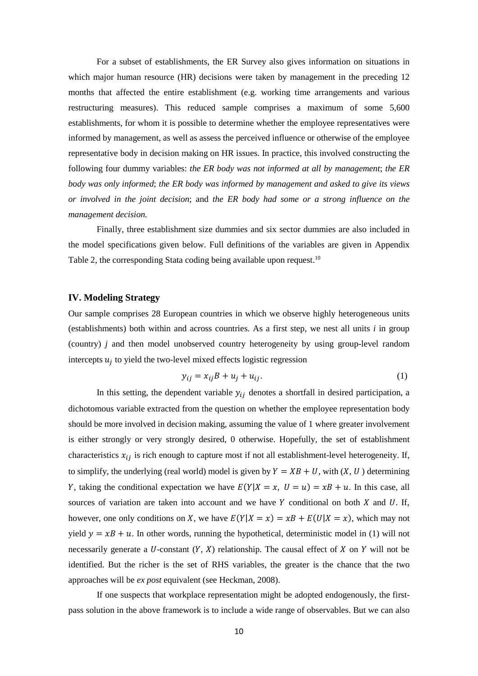For a subset of establishments, the ER Survey also gives information on situations in which major human resource (HR) decisions were taken by management in the preceding 12 months that affected the entire establishment (e.g. working time arrangements and various restructuring measures). This reduced sample comprises a maximum of some 5,600 establishments, for whom it is possible to determine whether the employee representatives were informed by management, as well as assess the perceived influence or otherwise of the employee representative body in decision making on HR issues. In practice, this involved constructing the following four dummy variables: *the ER body was not informed at all by management*; *the ER body was only informed*; *the ER body was informed by management and asked to give its views or involved in the joint decision*; and *the ER body had some or a strong influence on the management decision.*

Finally, three establishment size dummies and six sector dummies are also included in the model specifications given below. Full definitions of the variables are given in Appendix Table 2, the corresponding Stata coding being available upon request.<sup>10</sup>

#### **IV. Modeling Strategy**

Our sample comprises 28 European countries in which we observe highly heterogeneous units (establishments) both within and across countries. As a first step, we nest all units *i* in group (country) *j* and then model unobserved country heterogeneity by using group-level random intercepts  $u_i$  to yield the two-level mixed effects logistic regression

$$
y_{ij} = x_{ij}B + u_j + u_{ij}.\tag{1}
$$

In this setting, the dependent variable  $y_{ij}$  denotes a shortfall in desired participation, a dichotomous variable extracted from the question on whether the employee representation body should be more involved in decision making, assuming the value of 1 where greater involvement is either strongly or very strongly desired, 0 otherwise. Hopefully, the set of establishment characteristics  $x_{ij}$  is rich enough to capture most if not all establishment-level heterogeneity. If, to simplify, the underlying (real world) model is given by  $Y = XB + U$ , with  $(X, U)$  determining Y, taking the conditional expectation we have  $E(Y|X = x, U = u) = xB + u$ . In this case, all sources of variation are taken into account and we have  $Y$  conditional on both  $X$  and  $U$ . If, however, one only conditions on X, we have  $E(Y|X=x) = xB + E(U|X=x)$ , which may not yield  $y = xB + u$ . In other words, running the hypothetical, deterministic model in (1) will not necessarily generate a U-constant  $(Y, X)$  relationship. The causal effect of X on Y will not be identified. But the richer is the set of RHS variables, the greater is the chance that the two approaches will be *ex post* equivalent (see Heckman, 2008).

If one suspects that workplace representation might be adopted endogenously, the firstpass solution in the above framework is to include a wide range of observables. But we can also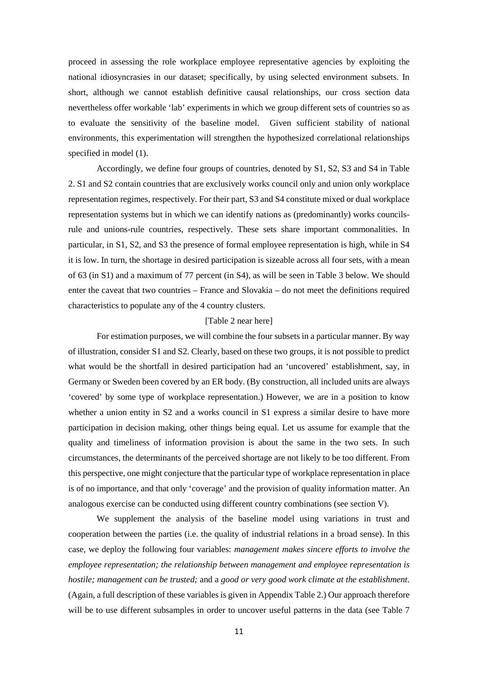proceed in assessing the role workplace employee representative agencies by exploiting the national idiosyncrasies in our dataset; specifically, by using selected environment subsets. In short, although we cannot establish definitive causal relationships, our cross section data nevertheless offer workable 'lab' experiments in which we group different sets of countries so as to evaluate the sensitivity of the baseline model. Given sufficient stability of national environments, this experimentation will strengthen the hypothesized correlational relationships specified in model (1).

Accordingly, we define four groups of countries, denoted by S1, S2, S3 and S4 in Table 2. S1 and S2 contain countries that are exclusively works council only and union only workplace representation regimes, respectively. For their part, S3 and S4 constitute mixed or dual workplace representation systems but in which we can identify nations as (predominantly) works councilsrule and unions-rule countries, respectively. These sets share important commonalities. In particular, in S1, S2, and S3 the presence of formal employee representation is high, while in S4 it is low. In turn, the shortage in desired participation is sizeable across all four sets, with a mean of 63 (in S1) and a maximum of 77 percent (in S4), as will be seen in Table 3 below. We should enter the caveat that two countries – France and Slovakia – do not meet the definitions required characteristics to populate any of the 4 country clusters.

#### [Table 2 near here]

For estimation purposes, we will combine the four subsets in a particular manner. By way of illustration, consider S1 and S2. Clearly, based on these two groups, it is not possible to predict what would be the shortfall in desired participation had an 'uncovered' establishment, say, in Germany or Sweden been covered by an ER body. (By construction, all included units are always 'covered' by some type of workplace representation.) However, we are in a position to know whether a union entity in S2 and a works council in S1 express a similar desire to have more participation in decision making, other things being equal. Let us assume for example that the quality and timeliness of information provision is about the same in the two sets. In such circumstances, the determinants of the perceived shortage are not likely to be too different. From this perspective, one might conjecture that the particular type of workplace representation in place is of no importance, and that only 'coverage' and the provision of quality information matter. An analogous exercise can be conducted using different country combinations (see section V).

We supplement the analysis of the baseline model using variations in trust and cooperation between the parties (i.e. the quality of industrial relations in a broad sense). In this case, we deploy the following four variables: *management makes sincere efforts to involve the employee representation; the relationship between management and employee representation is hostile; management can be trusted;* and a *good or very good work climate at the establishment*. (Again, a full description of these variables is given in Appendix Table 2.) Our approach therefore will be to use different subsamples in order to uncover useful patterns in the data (see Table 7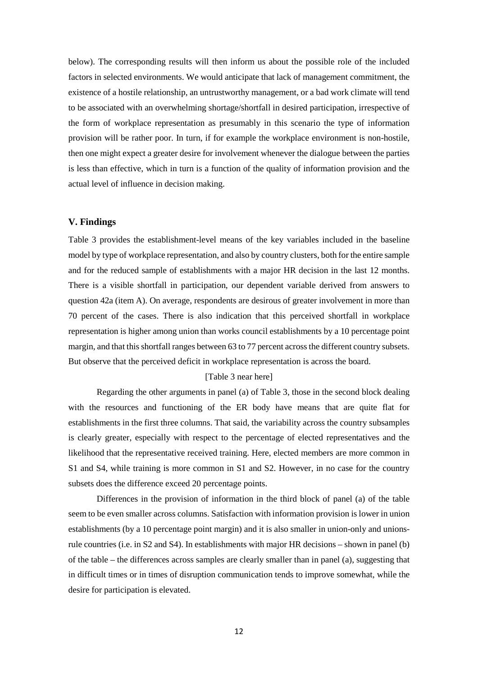below). The corresponding results will then inform us about the possible role of the included factors in selected environments. We would anticipate that lack of management commitment, the existence of a hostile relationship, an untrustworthy management, or a bad work climate will tend to be associated with an overwhelming shortage/shortfall in desired participation, irrespective of the form of workplace representation as presumably in this scenario the type of information provision will be rather poor. In turn, if for example the workplace environment is non-hostile, then one might expect a greater desire for involvement whenever the dialogue between the parties is less than effective, which in turn is a function of the quality of information provision and the actual level of influence in decision making.

#### **V. Findings**

Table 3 provides the establishment-level means of the key variables included in the baseline model by type of workplace representation, and also by country clusters, both for the entire sample and for the reduced sample of establishments with a major HR decision in the last 12 months. There is a visible shortfall in participation, our dependent variable derived from answers to question 42a (item A). On average, respondents are desirous of greater involvement in more than 70 percent of the cases. There is also indication that this perceived shortfall in workplace representation is higher among union than works council establishments by a 10 percentage point margin, and that this shortfall ranges between 63 to 77 percent across the different country subsets. But observe that the perceived deficit in workplace representation is across the board.

#### [Table 3 near here]

Regarding the other arguments in panel (a) of Table 3, those in the second block dealing with the resources and functioning of the ER body have means that are quite flat for establishments in the first three columns. That said, the variability across the country subsamples is clearly greater, especially with respect to the percentage of elected representatives and the likelihood that the representative received training. Here, elected members are more common in S1 and S4, while training is more common in S1 and S2. However, in no case for the country subsets does the difference exceed 20 percentage points.

Differences in the provision of information in the third block of panel (a) of the table seem to be even smaller across columns. Satisfaction with information provision is lower in union establishments (by a 10 percentage point margin) and it is also smaller in union-only and unionsrule countries (i.e. in S2 and S4). In establishments with major HR decisions – shown in panel (b) of the table – the differences across samples are clearly smaller than in panel (a), suggesting that in difficult times or in times of disruption communication tends to improve somewhat, while the desire for participation is elevated.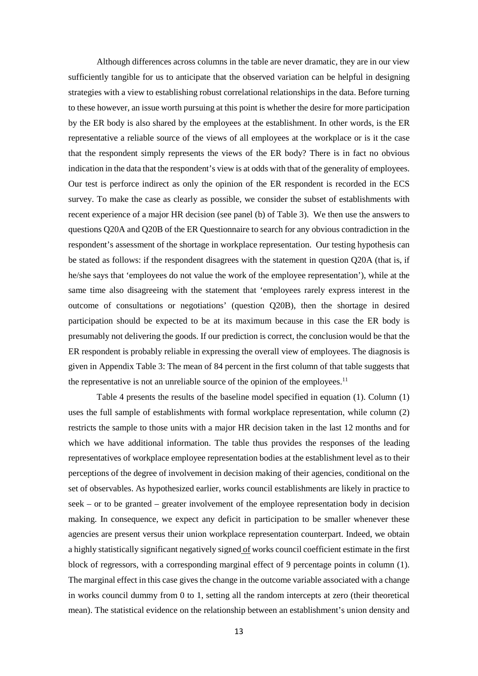Although differences across columns in the table are never dramatic, they are in our view sufficiently tangible for us to anticipate that the observed variation can be helpful in designing strategies with a view to establishing robust correlational relationships in the data. Before turning to these however, an issue worth pursuing at this point is whether the desire for more participation by the ER body is also shared by the employees at the establishment. In other words, is the ER representative a reliable source of the views of all employees at the workplace or is it the case that the respondent simply represents the views of the ER body? There is in fact no obvious indication in the data that the respondent's view is at odds with that of the generality of employees. Our test is perforce indirect as only the opinion of the ER respondent is recorded in the ECS survey. To make the case as clearly as possible, we consider the subset of establishments with recent experience of a major HR decision (see panel (b) of Table 3). We then use the answers to questions Q20A and Q20B of the ER Questionnaire to search for any obvious contradiction in the respondent's assessment of the shortage in workplace representation. Our testing hypothesis can be stated as follows: if the respondent disagrees with the statement in question Q20A (that is, if he/she says that 'employees do not value the work of the employee representation'), while at the same time also disagreeing with the statement that 'employees rarely express interest in the outcome of consultations or negotiations' (question Q20B), then the shortage in desired participation should be expected to be at its maximum because in this case the ER body is presumably not delivering the goods. If our prediction is correct, the conclusion would be that the ER respondent is probably reliable in expressing the overall view of employees. The diagnosis is given in Appendix Table 3: The mean of 84 percent in the first column of that table suggests that the representative is not an unreliable source of the opinion of the employees.<sup>11</sup>

Table 4 presents the results of the baseline model specified in equation (1). Column (1) uses the full sample of establishments with formal workplace representation, while column (2) restricts the sample to those units with a major HR decision taken in the last 12 months and for which we have additional information. The table thus provides the responses of the leading representatives of workplace employee representation bodies at the establishment level as to their perceptions of the degree of involvement in decision making of their agencies, conditional on the set of observables. As hypothesized earlier, works council establishments are likely in practice to seek – or to be granted – greater involvement of the employee representation body in decision making. In consequence, we expect any deficit in participation to be smaller whenever these agencies are present versus their union workplace representation counterpart. Indeed, we obtain a highly statistically significant negatively signed of works council coefficient estimate in the first block of regressors, with a corresponding marginal effect of 9 percentage points in column (1). The marginal effect in this case gives the change in the outcome variable associated with a change in works council dummy from 0 to 1, setting all the random intercepts at zero (their theoretical mean). The statistical evidence on the relationship between an establishment's union density and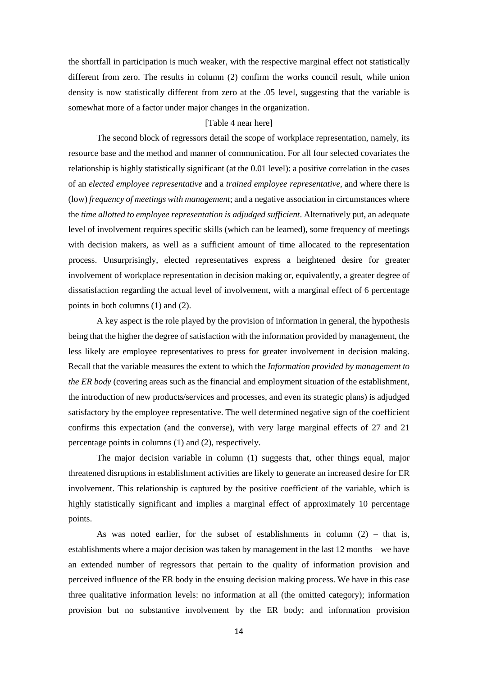the shortfall in participation is much weaker, with the respective marginal effect not statistically different from zero. The results in column (2) confirm the works council result, while union density is now statistically different from zero at the .05 level, suggesting that the variable is somewhat more of a factor under major changes in the organization.

#### [Table 4 near here]

The second block of regressors detail the scope of workplace representation, namely, its resource base and the method and manner of communication. For all four selected covariates the relationship is highly statistically significant (at the 0.01 level): a positive correlation in the cases of an *elected employee representative* and a *trained employee representative*, and where there is (low) *frequency of meetings with management*; and a negative association in circumstances where the *time allotted to employee representation is adjudged sufficient*. Alternatively put, an adequate level of involvement requires specific skills (which can be learned), some frequency of meetings with decision makers, as well as a sufficient amount of time allocated to the representation process. Unsurprisingly, elected representatives express a heightened desire for greater involvement of workplace representation in decision making or, equivalently, a greater degree of dissatisfaction regarding the actual level of involvement, with a marginal effect of 6 percentage points in both columns (1) and (2).

A key aspect is the role played by the provision of information in general, the hypothesis being that the higher the degree of satisfaction with the information provided by management, the less likely are employee representatives to press for greater involvement in decision making. Recall that the variable measures the extent to which the *Information provided by management to the ER body* (covering areas such as the financial and employment situation of the establishment, the introduction of new products/services and processes, and even its strategic plans) is adjudged satisfactory by the employee representative. The well determined negative sign of the coefficient confirms this expectation (and the converse), with very large marginal effects of 27 and 21 percentage points in columns (1) and (2), respectively.

The major decision variable in column (1) suggests that, other things equal, major threatened disruptions in establishment activities are likely to generate an increased desire for ER involvement. This relationship is captured by the positive coefficient of the variable, which is highly statistically significant and implies a marginal effect of approximately 10 percentage points.

As was noted earlier, for the subset of establishments in column  $(2)$  – that is, establishments where a major decision was taken by management in the last 12 months – we have an extended number of regressors that pertain to the quality of information provision and perceived influence of the ER body in the ensuing decision making process. We have in this case three qualitative information levels: no information at all (the omitted category); information provision but no substantive involvement by the ER body; and information provision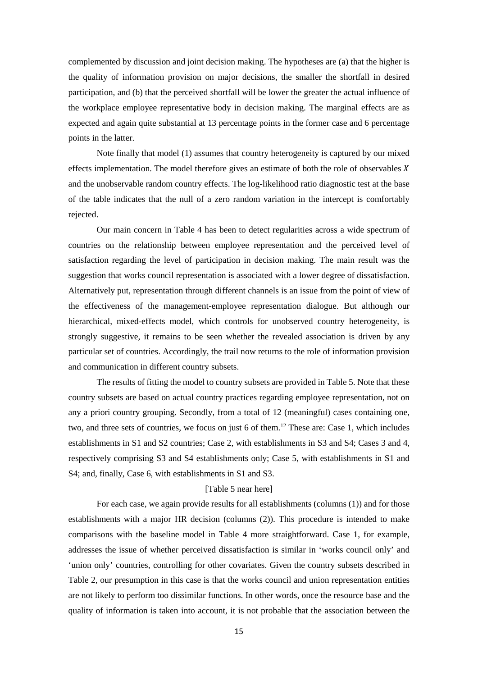complemented by discussion and joint decision making. The hypotheses are (a) that the higher is the quality of information provision on major decisions, the smaller the shortfall in desired participation, and (b) that the perceived shortfall will be lower the greater the actual influence of the workplace employee representative body in decision making. The marginal effects are as expected and again quite substantial at 13 percentage points in the former case and 6 percentage points in the latter.

Note finally that model (1) assumes that country heterogeneity is captured by our mixed effects implementation. The model therefore gives an estimate of both the role of observables  $X$ and the unobservable random country effects. The log-likelihood ratio diagnostic test at the base of the table indicates that the null of a zero random variation in the intercept is comfortably rejected.

Our main concern in Table 4 has been to detect regularities across a wide spectrum of countries on the relationship between employee representation and the perceived level of satisfaction regarding the level of participation in decision making. The main result was the suggestion that works council representation is associated with a lower degree of dissatisfaction. Alternatively put, representation through different channels is an issue from the point of view of the effectiveness of the management-employee representation dialogue. But although our hierarchical, mixed-effects model, which controls for unobserved country heterogeneity, is strongly suggestive, it remains to be seen whether the revealed association is driven by any particular set of countries. Accordingly, the trail now returns to the role of information provision and communication in different country subsets.

The results of fitting the model to country subsets are provided in Table 5. Note that these country subsets are based on actual country practices regarding employee representation, not on any a priori country grouping. Secondly, from a total of 12 (meaningful) cases containing one, two, and three sets of countries, we focus on just 6 of them. <sup>12</sup> These are: Case 1, which includes establishments in S1 and S2 countries; Case 2, with establishments in S3 and S4; Cases 3 and 4, respectively comprising S3 and S4 establishments only; Case 5, with establishments in S1 and S4; and, finally, Case 6, with establishments in S1 and S3.

#### [Table 5 near here]

For each case, we again provide results for all establishments (columns (1)) and for those establishments with a major HR decision (columns (2)). This procedure is intended to make comparisons with the baseline model in Table 4 more straightforward. Case 1, for example, addresses the issue of whether perceived dissatisfaction is similar in 'works council only' and 'union only' countries, controlling for other covariates. Given the country subsets described in Table 2, our presumption in this case is that the works council and union representation entities are not likely to perform too dissimilar functions. In other words, once the resource base and the quality of information is taken into account, it is not probable that the association between the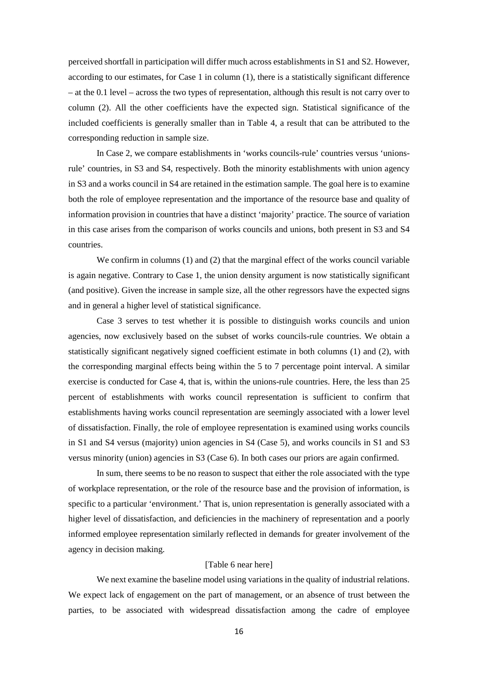perceived shortfall in participation will differ much across establishments in S1 and S2. However, according to our estimates, for Case 1 in column (1), there is a statistically significant difference – at the 0.1 level – across the two types of representation, although this result is not carry over to column (2). All the other coefficients have the expected sign. Statistical significance of the included coefficients is generally smaller than in Table 4, a result that can be attributed to the corresponding reduction in sample size.

In Case 2, we compare establishments in 'works councils-rule' countries versus 'unionsrule' countries, in S3 and S4, respectively. Both the minority establishments with union agency in S3 and a works council in S4 are retained in the estimation sample. The goal here is to examine both the role of employee representation and the importance of the resource base and quality of information provision in countries that have a distinct 'majority' practice. The source of variation in this case arises from the comparison of works councils and unions, both present in S3 and S4 countries.

We confirm in columns (1) and (2) that the marginal effect of the works council variable is again negative. Contrary to Case 1, the union density argument is now statistically significant (and positive). Given the increase in sample size, all the other regressors have the expected signs and in general a higher level of statistical significance.

Case 3 serves to test whether it is possible to distinguish works councils and union agencies, now exclusively based on the subset of works councils-rule countries. We obtain a statistically significant negatively signed coefficient estimate in both columns (1) and (2), with the corresponding marginal effects being within the 5 to 7 percentage point interval. A similar exercise is conducted for Case 4, that is, within the unions-rule countries. Here, the less than 25 percent of establishments with works council representation is sufficient to confirm that establishments having works council representation are seemingly associated with a lower level of dissatisfaction. Finally, the role of employee representation is examined using works councils in S1 and S4 versus (majority) union agencies in S4 (Case 5), and works councils in S1 and S3 versus minority (union) agencies in S3 (Case 6). In both cases our priors are again confirmed.

In sum, there seems to be no reason to suspect that either the role associated with the type of workplace representation, or the role of the resource base and the provision of information, is specific to a particular 'environment.' That is, union representation is generally associated with a higher level of dissatisfaction, and deficiencies in the machinery of representation and a poorly informed employee representation similarly reflected in demands for greater involvement of the agency in decision making.

#### [Table 6 near here]

We next examine the baseline model using variations in the quality of industrial relations. We expect lack of engagement on the part of management, or an absence of trust between the parties, to be associated with widespread dissatisfaction among the cadre of employee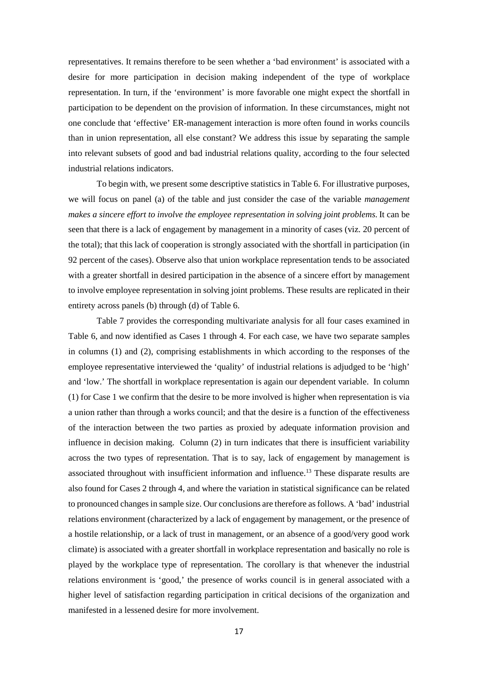representatives. It remains therefore to be seen whether a 'bad environment' is associated with a desire for more participation in decision making independent of the type of workplace representation. In turn, if the 'environment' is more favorable one might expect the shortfall in participation to be dependent on the provision of information. In these circumstances, might not one conclude that 'effective' ER-management interaction is more often found in works councils than in union representation, all else constant? We address this issue by separating the sample into relevant subsets of good and bad industrial relations quality, according to the four selected industrial relations indicators.

To begin with, we present some descriptive statistics in Table 6. For illustrative purposes, we will focus on panel (a) of the table and just consider the case of the variable *management makes a sincere effort to involve the employee representation in solving joint problems.* It can be seen that there is a lack of engagement by management in a minority of cases (viz. 20 percent of the total); that this lack of cooperation is strongly associated with the shortfall in participation (in 92 percent of the cases). Observe also that union workplace representation tends to be associated with a greater shortfall in desired participation in the absence of a sincere effort by management to involve employee representation in solving joint problems. These results are replicated in their entirety across panels (b) through (d) of Table 6.

Table 7 provides the corresponding multivariate analysis for all four cases examined in Table 6, and now identified as Cases 1 through 4. For each case, we have two separate samples in columns (1) and (2), comprising establishments in which according to the responses of the employee representative interviewed the 'quality' of industrial relations is adjudged to be 'high' and 'low.' The shortfall in workplace representation is again our dependent variable. In column (1) for Case 1 we confirm that the desire to be more involved is higher when representation is via a union rather than through a works council; and that the desire is a function of the effectiveness of the interaction between the two parties as proxied by adequate information provision and influence in decision making. Column (2) in turn indicates that there is insufficient variability across the two types of representation. That is to say, lack of engagement by management is associated throughout with insufficient information and influence.<sup>13</sup> These disparate results are also found for Cases 2 through 4, and where the variation in statistical significance can be related to pronounced changes in sample size. Our conclusions are therefore as follows. A 'bad' industrial relations environment (characterized by a lack of engagement by management, or the presence of a hostile relationship, or a lack of trust in management, or an absence of a good/very good work climate) is associated with a greater shortfall in workplace representation and basically no role is played by the workplace type of representation. The corollary is that whenever the industrial relations environment is 'good,' the presence of works council is in general associated with a higher level of satisfaction regarding participation in critical decisions of the organization and manifested in a lessened desire for more involvement.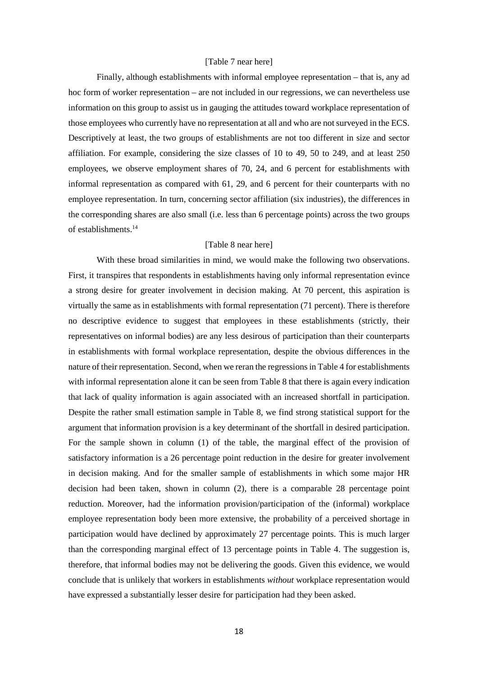#### [Table 7 near here]

Finally, although establishments with informal employee representation – that is, any ad hoc form of worker representation – are not included in our regressions, we can nevertheless use information on this group to assist us in gauging the attitudes toward workplace representation of those employees who currently have no representation at all and who are not surveyed in the ECS. Descriptively at least, the two groups of establishments are not too different in size and sector affiliation. For example, considering the size classes of 10 to 49, 50 to 249, and at least 250 employees, we observe employment shares of 70, 24, and 6 percent for establishments with informal representation as compared with 61, 29, and 6 percent for their counterparts with no employee representation. In turn, concerning sector affiliation (six industries), the differences in the corresponding shares are also small (i.e. less than 6 percentage points) across the two groups of establishments.14

#### [Table 8 near here]

With these broad similarities in mind, we would make the following two observations. First, it transpires that respondents in establishments having only informal representation evince a strong desire for greater involvement in decision making. At 70 percent, this aspiration is virtually the same as in establishments with formal representation (71 percent). There is therefore no descriptive evidence to suggest that employees in these establishments (strictly, their representatives on informal bodies) are any less desirous of participation than their counterparts in establishments with formal workplace representation, despite the obvious differences in the nature of their representation. Second, when we reran the regressions in Table 4 for establishments with informal representation alone it can be seen from Table 8 that there is again every indication that lack of quality information is again associated with an increased shortfall in participation. Despite the rather small estimation sample in Table 8, we find strong statistical support for the argument that information provision is a key determinant of the shortfall in desired participation. For the sample shown in column (1) of the table, the marginal effect of the provision of satisfactory information is a 26 percentage point reduction in the desire for greater involvement in decision making. And for the smaller sample of establishments in which some major HR decision had been taken, shown in column (2), there is a comparable 28 percentage point reduction. Moreover, had the information provision/participation of the (informal) workplace employee representation body been more extensive, the probability of a perceived shortage in participation would have declined by approximately 27 percentage points. This is much larger than the corresponding marginal effect of 13 percentage points in Table 4. The suggestion is, therefore, that informal bodies may not be delivering the goods. Given this evidence, we would conclude that is unlikely that workers in establishments *without* workplace representation would have expressed a substantially lesser desire for participation had they been asked.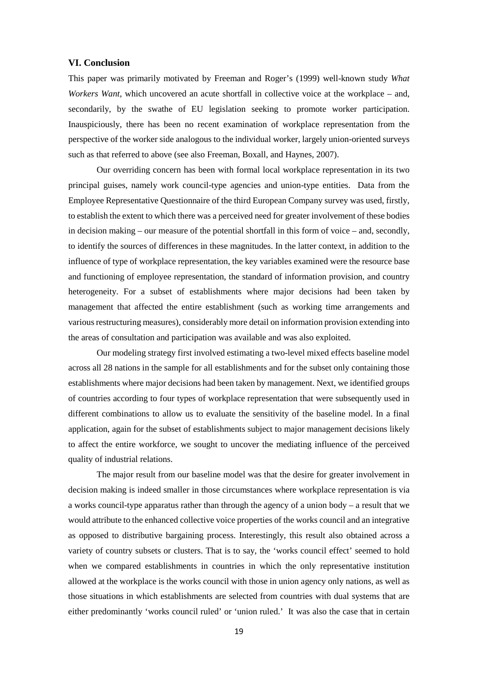#### **VI. Conclusion**

This paper was primarily motivated by Freeman and Roger's (1999) well-known study *What Workers Want,* which uncovered an acute shortfall in collective voice at the workplace – and, secondarily, by the swathe of EU legislation seeking to promote worker participation. Inauspiciously, there has been no recent examination of workplace representation from the perspective of the worker side analogous to the individual worker, largely union-oriented surveys such as that referred to above (see also Freeman, Boxall, and Haynes, 2007).

Our overriding concern has been with formal local workplace representation in its two principal guises, namely work council-type agencies and union-type entities. Data from the Employee Representative Questionnaire of the third European Company survey was used, firstly, to establish the extent to which there was a perceived need for greater involvement of these bodies in decision making – our measure of the potential shortfall in this form of voice – and, secondly, to identify the sources of differences in these magnitudes. In the latter context, in addition to the influence of type of workplace representation, the key variables examined were the resource base and functioning of employee representation, the standard of information provision, and country heterogeneity. For a subset of establishments where major decisions had been taken by management that affected the entire establishment (such as working time arrangements and various restructuring measures), considerably more detail on information provision extending into the areas of consultation and participation was available and was also exploited.

Our modeling strategy first involved estimating a two-level mixed effects baseline model across all 28 nations in the sample for all establishments and for the subset only containing those establishments where major decisions had been taken by management. Next, we identified groups of countries according to four types of workplace representation that were subsequently used in different combinations to allow us to evaluate the sensitivity of the baseline model. In a final application, again for the subset of establishments subject to major management decisions likely to affect the entire workforce, we sought to uncover the mediating influence of the perceived quality of industrial relations.

The major result from our baseline model was that the desire for greater involvement in decision making is indeed smaller in those circumstances where workplace representation is via a works council-type apparatus rather than through the agency of a union body – a result that we would attribute to the enhanced collective voice properties of the works council and an integrative as opposed to distributive bargaining process. Interestingly, this result also obtained across a variety of country subsets or clusters. That is to say, the 'works council effect' seemed to hold when we compared establishments in countries in which the only representative institution allowed at the workplace is the works council with those in union agency only nations, as well as those situations in which establishments are selected from countries with dual systems that are either predominantly 'works council ruled' or 'union ruled.' It was also the case that in certain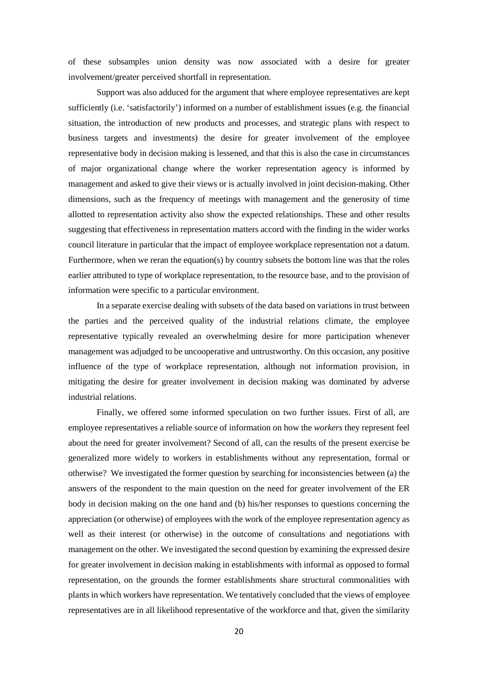of these subsamples union density was now associated with a desire for greater involvement/greater perceived shortfall in representation.

Support was also adduced for the argument that where employee representatives are kept sufficiently (i.e. 'satisfactorily') informed on a number of establishment issues (e.g. the financial situation, the introduction of new products and processes, and strategic plans with respect to business targets and investments) the desire for greater involvement of the employee representative body in decision making is lessened, and that this is also the case in circumstances of major organizational change where the worker representation agency is informed by management and asked to give their views or is actually involved in joint decision-making. Other dimensions, such as the frequency of meetings with management and the generosity of time allotted to representation activity also show the expected relationships. These and other results suggesting that effectiveness in representation matters accord with the finding in the wider works council literature in particular that the impact of employee workplace representation not a datum. Furthermore, when we reran the equation(s) by country subsets the bottom line was that the roles earlier attributed to type of workplace representation, to the resource base, and to the provision of information were specific to a particular environment.

In a separate exercise dealing with subsets of the data based on variations in trust between the parties and the perceived quality of the industrial relations climate, the employee representative typically revealed an overwhelming desire for more participation whenever management was adjudged to be uncooperative and untrustworthy. On this occasion, any positive influence of the type of workplace representation, although not information provision, in mitigating the desire for greater involvement in decision making was dominated by adverse industrial relations.

Finally, we offered some informed speculation on two further issues. First of all, are employee representatives a reliable source of information on how the *workers* they represent feel about the need for greater involvement? Second of all, can the results of the present exercise be generalized more widely to workers in establishments without any representation, formal or otherwise? We investigated the former question by searching for inconsistencies between (a) the answers of the respondent to the main question on the need for greater involvement of the ER body in decision making on the one hand and (b) his/her responses to questions concerning the appreciation (or otherwise) of employees with the work of the employee representation agency as well as their interest (or otherwise) in the outcome of consultations and negotiations with management on the other. We investigated the second question by examining the expressed desire for greater involvement in decision making in establishments with informal as opposed to formal representation, on the grounds the former establishments share structural commonalities with plants in which workers have representation. We tentatively concluded that the views of employee representatives are in all likelihood representative of the workforce and that, given the similarity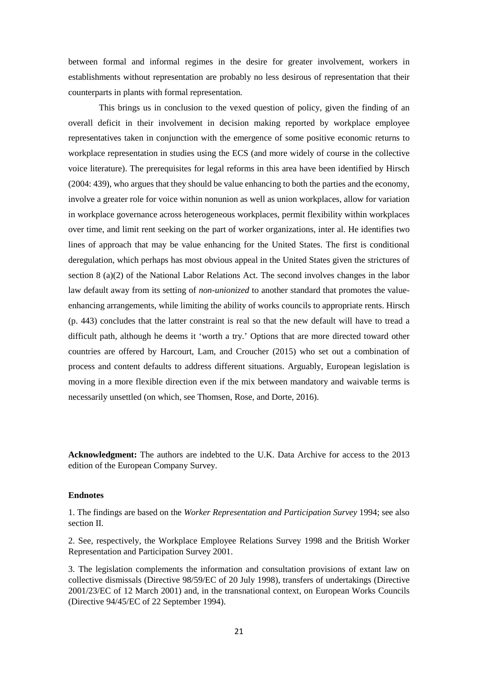between formal and informal regimes in the desire for greater involvement, workers in establishments without representation are probably no less desirous of representation that their counterparts in plants with formal representation.

This brings us in conclusion to the vexed question of policy, given the finding of an overall deficit in their involvement in decision making reported by workplace employee representatives taken in conjunction with the emergence of some positive economic returns to workplace representation in studies using the ECS (and more widely of course in the collective voice literature). The prerequisites for legal reforms in this area have been identified by Hirsch (2004: 439), who argues that they should be value enhancing to both the parties and the economy, involve a greater role for voice within nonunion as well as union workplaces, allow for variation in workplace governance across heterogeneous workplaces, permit flexibility within workplaces over time, and limit rent seeking on the part of worker organizations, inter al. He identifies two lines of approach that may be value enhancing for the United States. The first is conditional deregulation, which perhaps has most obvious appeal in the United States given the strictures of section 8 (a)(2) of the National Labor Relations Act. The second involves changes in the labor law default away from its setting of *non-unionized* to another standard that promotes the valueenhancing arrangements, while limiting the ability of works councils to appropriate rents. Hirsch (p. 443) concludes that the latter constraint is real so that the new default will have to tread a difficult path, although he deems it 'worth a try.' Options that are more directed toward other countries are offered by Harcourt, Lam, and Croucher (2015) who set out a combination of process and content defaults to address different situations. Arguably, European legislation is moving in a more flexible direction even if the mix between mandatory and waivable terms is necessarily unsettled (on which, see Thomsen, Rose, and Dorte, 2016).

**Acknowledgment:** The authors are indebted to the U.K. Data Archive for access to the 2013 edition of the European Company Survey.

#### **Endnotes**

1. The findings are based on the *Worker Representation and Participation Survey* 1994; see also section II.

2. See, respectively, the Workplace Employee Relations Survey 1998 and the British Worker Representation and Participation Survey 2001.

3. The legislation complements the information and consultation provisions of extant law on collective dismissals (Directive 98/59/EC of 20 July 1998), transfers of undertakings (Directive 2001/23/EC of 12 March 2001) and, in the transnational context, on European Works Councils (Directive 94/45/EC of 22 September 1994).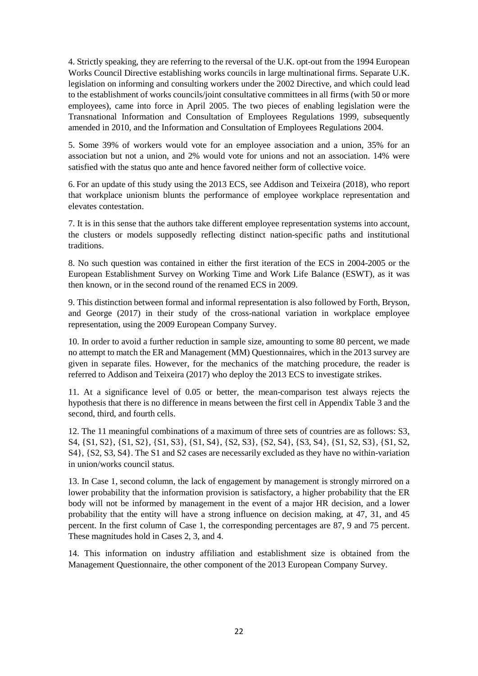4. Strictly speaking, they are referring to the reversal of the U.K. opt-out from the 1994 European Works Council Directive establishing works councils in large multinational firms. Separate U.K. legislation on informing and consulting workers under the 2002 Directive, and which could lead to the establishment of works councils/joint consultative committees in all firms (with 50 or more employees), came into force in April 2005. The two pieces of enabling legislation were the Transnational Information and Consultation of Employees Regulations 1999, subsequently amended in 2010, and the Information and Consultation of Employees Regulations 2004.

5. Some 39% of workers would vote for an employee association and a union, 35% for an association but not a union, and 2% would vote for unions and not an association. 14% were satisfied with the status quo ante and hence favored neither form of collective voice.

6. For an update of this study using the 2013 ECS, see Addison and Teixeira (2018), who report that workplace unionism blunts the performance of employee workplace representation and elevates contestation.

7. It is in this sense that the authors take different employee representation systems into account, the clusters or models supposedly reflecting distinct nation-specific paths and institutional traditions.

8. No such question was contained in either the first iteration of the ECS in 2004-2005 or the European Establishment Survey on Working Time and Work Life Balance (ESWT), as it was then known, or in the second round of the renamed ECS in 2009.

9. This distinction between formal and informal representation is also followed by Forth, Bryson, and George (2017) in their study of the cross-national variation in workplace employee representation, using the 2009 European Company Survey.

10. In order to avoid a further reduction in sample size, amounting to some 80 percent, we made no attempt to match the ER and Management (MM) Questionnaires, which in the 2013 survey are given in separate files. However, for the mechanics of the matching procedure, the reader is referred to Addison and Teixeira (2017) who deploy the 2013 ECS to investigate strikes.

11. At a significance level of 0.05 or better, the mean-comparison test always rejects the hypothesis that there is no difference in means between the first cell in Appendix Table 3 and the second, third, and fourth cells.

12. The 11 meaningful combinations of a maximum of three sets of countries are as follows: S3, S4, {S1, S2}, {S1, S2}, {S1, S3}, {S1, S4}, {S2, S3}, {S2, S4}, {S3, S4}, {S1, S2, S3}, {S1, S2, S4}, {S2, S3, S4}. The S1 and S2 cases are necessarily excluded as they have no within-variation in union/works council status.

13. In Case 1, second column, the lack of engagement by management is strongly mirrored on a lower probability that the information provision is satisfactory, a higher probability that the ER body will not be informed by management in the event of a major HR decision, and a lower probability that the entity will have a strong influence on decision making, at 47, 31, and 45 percent. In the first column of Case 1, the corresponding percentages are 87, 9 and 75 percent. These magnitudes hold in Cases 2, 3, and 4.

14. This information on industry affiliation and establishment size is obtained from the Management Questionnaire, the other component of the 2013 European Company Survey.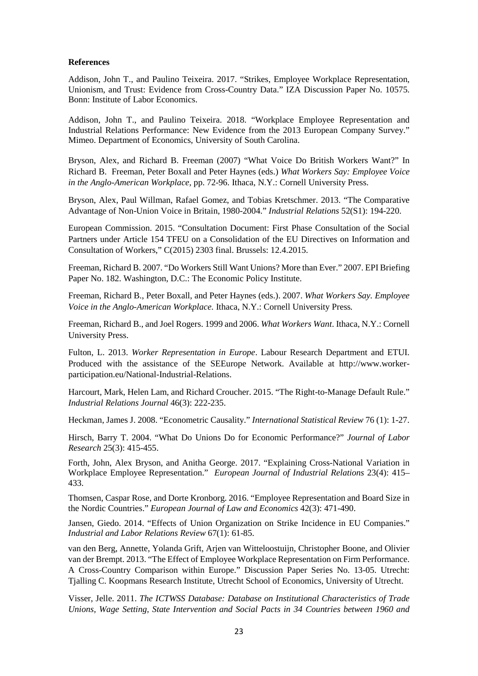#### **References**

Addison, John T., and Paulino Teixeira. 2017. "Strikes, Employee Workplace Representation, Unionism, and Trust: Evidence from Cross-Country Data." IZA Discussion Paper No. 10575. Bonn: Institute of Labor Economics.

Addison, John T., and Paulino Teixeira. 2018. "Workplace Employee Representation and Industrial Relations Performance: New Evidence from the 2013 European Company Survey." Mimeo. Department of Economics, University of South Carolina.

Bryson, Alex, and Richard B. Freeman (2007) "What Voice Do British Workers Want?" In Richard B. Freeman, Peter Boxall and Peter Haynes (eds.) *What Workers Say: Employee Voice in the Anglo-American Workplace,* pp. 72-96. Ithaca, N.Y.: Cornell University Press.

Bryson, Alex, Paul Willman, Rafael Gomez, and Tobias Kretschmer. 2013. "The Comparative Advantage of Non-Union Voice in Britain, 1980-2004." *Industrial Relations* 52(S1): 194-220.

European Commission. 2015. "Consultation Document: First Phase Consultation of the Social Partners under Article 154 TFEU on a Consolidation of the EU Directives on Information and Consultation of Workers," C(2015) 2303 final. Brussels: 12.4.2015.

Freeman, Richard B. 2007. "Do Workers Still Want Unions? More than Ever." 2007. EPI Briefing Paper No. 182. Washington, D.C.: The Economic Policy Institute.

Freeman, Richard B., Peter Boxall, and Peter Haynes (eds.). 2007. *What Workers Say. Employee Voice in the Anglo-American Workplace.* Ithaca, N.Y.: Cornell University Press*.*

Freeman, Richard B., and Joel Rogers. 1999 and 2006. *What Workers Want*. Ithaca, N.Y.: Cornell University Press.

Fulton, L. 2013. *Worker Representation in Europe*. Labour Research Department and ETUI. Produced with the assistance of the SEEurope Network. Available at http://www.workerparticipation.eu/National-Industrial-Relations.

Harcourt, Mark, Helen Lam, and Richard Croucher. 2015. "The Right-to-Manage Default Rule." *Industrial Relations Journal* 46(3): 222-235.

Heckman, James J. 2008. "Econometric Causality." *International Statistical Review* 76 (1): 1-27.

Hirsch, Barry T. 2004. "What Do Unions Do for Economic Performance?" *Journal of Labor Research* 25(3): 415-455.

Forth, John, Alex Bryson, and Anitha George. 2017. "Explaining Cross-National Variation in Workplace Employee Representation." *European Journal of Industrial Relations* 23(4): 415– 433.

Thomsen, Caspar Rose, and Dorte Kronborg. 2016. "Employee Representation and Board Size in the Nordic Countries." *European Journal of Law and Economics* 42(3): 471-490.

Jansen, Giedo. 2014. "Effects of Union Organization on Strike Incidence in EU Companies." *Industrial and Labor Relations Review* 67(1): 61-85.

van den Berg, Annette, Yolanda Grift, Arjen van Witteloostuijn, Christopher Boone, and Olivier van der Brempt. 2013. "The Effect of Employee Workplace Representation on Firm Performance. A Cross-Country Comparison within Europe." Discussion Paper Series No. 13-05. Utrecht: Tjalling C. Koopmans Research Institute, Utrecht School of Economics, University of Utrecht.

Visser, Jelle. 2011. *The ICTWSS Database: Database on Institutional Characteristics of Trade Unions, Wage Setting, State Intervention and Social Pacts in 34 Countries between 1960 and*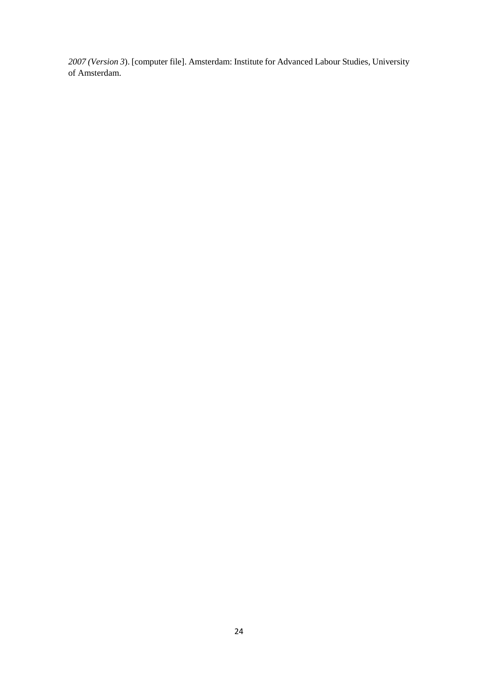*2007 (Version 3*). [computer file]. Amsterdam: Institute for Advanced Labour Studies, University of Amsterdam.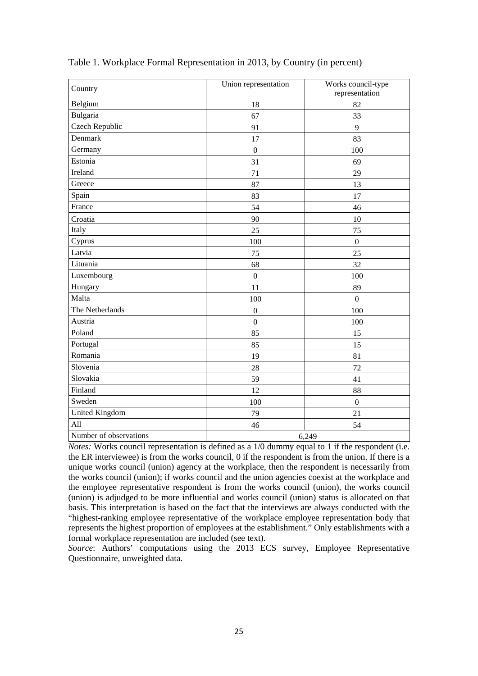| Country                | Works council-type<br>Union representation<br>representation |                  |  |  |  |
|------------------------|--------------------------------------------------------------|------------------|--|--|--|
| Belgium                | 18                                                           | 82               |  |  |  |
| Bulgaria               | 67                                                           | 33               |  |  |  |
| <b>Czech Republic</b>  | 91                                                           | 9                |  |  |  |
| Denmark                | 17                                                           | 83               |  |  |  |
| Germany                | $\overline{0}$                                               | 100              |  |  |  |
| Estonia                | 31                                                           | 69               |  |  |  |
| Ireland                | 71                                                           | 29               |  |  |  |
| Greece                 | 87                                                           | 13               |  |  |  |
| Spain                  | 83                                                           | 17               |  |  |  |
| France                 | 54                                                           | 46               |  |  |  |
| Croatia                | 90                                                           | 10               |  |  |  |
| Italy                  | 25                                                           | 75               |  |  |  |
| Cyprus                 | 100                                                          | $\boldsymbol{0}$ |  |  |  |
| Latvia                 | 75                                                           | 25               |  |  |  |
| Lituania               | 68                                                           | 32               |  |  |  |
| Luxembourg             | $\overline{0}$                                               | 100              |  |  |  |
| Hungary                | 11                                                           | 89               |  |  |  |
| Malta                  | 100                                                          | $\mathbf{0}$     |  |  |  |
| The Netherlands        | $\boldsymbol{0}$                                             | 100              |  |  |  |
| Austria                | $\overline{0}$                                               | 100              |  |  |  |
| Poland                 | 85                                                           | 15               |  |  |  |
| Portugal               | 85                                                           | 15               |  |  |  |
| Romania                | 19                                                           | 81               |  |  |  |
| Slovenia               | 28                                                           | 72               |  |  |  |
| Slovakia               | 59                                                           | 41               |  |  |  |
| Finland                | 12                                                           | 88               |  |  |  |
| Sweden                 | 100                                                          | $\mathbf 0$      |  |  |  |
| <b>United Kingdom</b>  | 79                                                           | 21               |  |  |  |
| All                    | 46                                                           | 54               |  |  |  |
| Number of observations | 6,249                                                        |                  |  |  |  |

#### Table 1*.* Workplace Formal Representation in 2013, by Country (in percent)

*Notes:* Works council representation is defined as a 1/0 dummy equal to 1 if the respondent (i.e. the ER interviewee) is from the works council, 0 if the respondent is from the union. If there is a unique works council (union) agency at the workplace, then the respondent is necessarily from the works council (union); if works council and the union agencies coexist at the workplace and the employee representative respondent is from the works council (union), the works council (union) is adjudged to be more influential and works council (union) status is allocated on that basis. This interpretation is based on the fact that the interviews are always conducted with the "highest-ranking employee representative of the workplace employee representation body that represents the highest proportion of employees at the establishment." Only establishments with a formal workplace representation are included (see text).

*Source*: Authors' computations using the 2013 ECS survey, Employee Representative Questionnaire, unweighted data.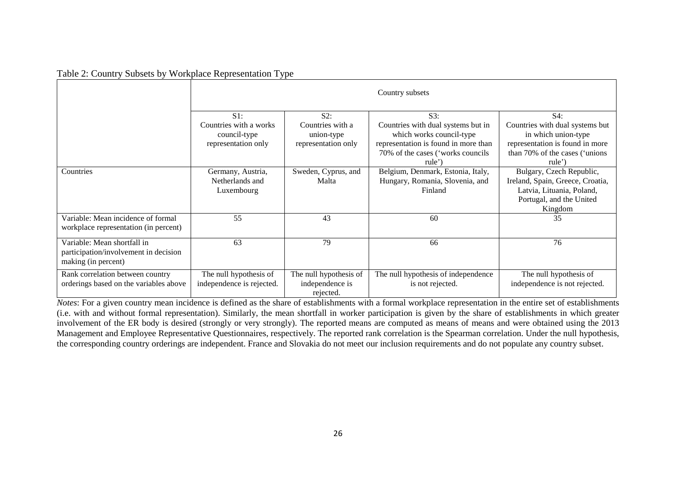| Table 2: Country Subsets by Workplace Representation Type |  |
|-----------------------------------------------------------|--|
|-----------------------------------------------------------|--|

|                                                                                             |                                                                         |                                                              | Country subsets                                                                                                                                              |                                                                                                                                             |
|---------------------------------------------------------------------------------------------|-------------------------------------------------------------------------|--------------------------------------------------------------|--------------------------------------------------------------------------------------------------------------------------------------------------------------|---------------------------------------------------------------------------------------------------------------------------------------------|
|                                                                                             | $S1$ :<br>Countries with a works<br>council-type<br>representation only | S2:<br>Countries with a<br>union-type<br>representation only | S3:<br>Countries with dual systems but in<br>which works council-type<br>representation is found in more than<br>70% of the cases ('works councils<br>rule') | S4:<br>Countries with dual systems but<br>in which union-type<br>representation is found in more<br>than 70% of the cases ('unions<br>rule' |
| Countries                                                                                   | Germany, Austria,<br>Netherlands and<br>Luxembourg                      | Sweden, Cyprus, and<br>Malta                                 | Belgium, Denmark, Estonia, Italy,<br>Hungary, Romania, Slovenia, and<br>Finland                                                                              | Bulgary, Czech Republic,<br>Ireland, Spain, Greece, Croatia,<br>Latvia, Lituania, Poland,<br>Portugal, and the United<br>Kingdom            |
| Variable: Mean incidence of formal<br>workplace representation (in percent)                 | 55                                                                      | 43                                                           | 60                                                                                                                                                           | 35                                                                                                                                          |
| Variable: Mean shortfall in<br>participation/involvement in decision<br>making (in percent) | 63                                                                      | 79                                                           | 66                                                                                                                                                           | 76                                                                                                                                          |
| Rank correlation between country<br>orderings based on the variables above                  | The null hypothesis of<br>independence is rejected.                     | The null hypothesis of<br>independence is<br>rejected.       | The null hypothesis of independence<br>is not rejected.                                                                                                      | The null hypothesis of<br>independence is not rejected.                                                                                     |

*Notes*: For a given country mean incidence is defined as the share of establishments with a formal workplace representation in the entire set of establishments (i.e. with and without formal representation). Similarly, the mean shortfall in worker participation is given by the share of establishments in which greater involvement of the ER body is desired (strongly or very strongly). The reported means are computed as means of means and were obtained using the 2013 Management and Employee Representative Questionnaires, respectively. The reported rank correlation is the Spearman correlation. Under the null hypothesis, the corresponding country orderings are independent. France and Slovakia do not meet our inclusion requirements and do not populate any country subset.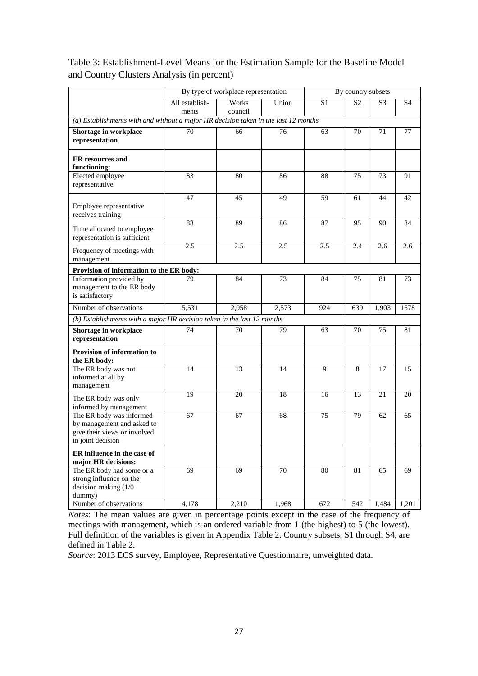|                                                                                                             | By type of workplace representation |                  |       | By country subsets |                |                |                |  |
|-------------------------------------------------------------------------------------------------------------|-------------------------------------|------------------|-------|--------------------|----------------|----------------|----------------|--|
|                                                                                                             | All establish-<br>ments             | Works<br>council | Union | S <sub>1</sub>     | S <sub>2</sub> | S <sub>3</sub> | S <sub>4</sub> |  |
| (a) Establishments with and without a major HR decision taken in the last 12 months                         |                                     |                  |       |                    |                |                |                |  |
| Shortage in workplace<br>representation                                                                     | 70                                  | 66               | 76    | 63                 | 70             | 71             | 77             |  |
| <b>ER</b> resources and<br>functioning:                                                                     |                                     |                  |       |                    |                |                |                |  |
| Elected employee<br>representative                                                                          | 83                                  | 80               | 86    | 88                 | 75             | 73             | 91             |  |
| Employee representative<br>receives training                                                                | 47                                  | 45               | 49    | 59                 | 61             | 44             | 42             |  |
| Time allocated to employee<br>representation is sufficient                                                  | 88                                  | 89               | 86    | 87                 | 95             | 90             | 84             |  |
| Frequency of meetings with<br>management                                                                    | 2.5                                 | 2.5              | 2.5   | 2.5                | 2.4            | 2.6            | 2.6            |  |
| Provision of information to the ER body:                                                                    |                                     |                  |       |                    |                |                |                |  |
| Information provided by<br>management to the ER body<br>is satisfactory                                     | 79                                  | 84               | 73    | 84                 | 75             | 81             | 73             |  |
| Number of observations                                                                                      | 5,531                               | 2,958            | 2,573 | 924                | 639            | 1,903          | 1578           |  |
| (b) Establishments with a major HR decision taken in the last 12 months                                     |                                     |                  |       |                    |                |                |                |  |
| Shortage in workplace<br>representation                                                                     | 74                                  | 70               | 79    | 63                 | 70             | 75             | 81             |  |
| Provision of information to<br>the ER body:                                                                 |                                     |                  |       |                    |                |                |                |  |
| The ER body was not<br>informed at all by<br>management                                                     | 14                                  | 13               | 14    | 9                  | 8              | 17             | 15             |  |
| The ER body was only<br>informed by management                                                              | 19                                  | 20               | 18    | 16                 | 13             | 21             | 20             |  |
| The ER body was informed<br>by management and asked to<br>give their views or involved<br>in joint decision | 67                                  | 67               | 68    | 75                 | 79             | 62             | 65             |  |
| ER influence in the case of<br>major HR decisions:                                                          |                                     |                  |       |                    |                |                |                |  |
| The ER body had some or a<br>strong influence on the<br>decision making (1/0<br>dummy)                      | 69                                  | 69               | 70    | 80                 | 81             | 65             | 69             |  |
| Number of observations                                                                                      | 4,178                               | 2,210            | 1,968 | 672                | 542            | 1,484          | 1,201          |  |

### Table 3: Establishment-Level Means for the Estimation Sample for the Baseline Model and Country Clusters Analysis (in percent)

*Notes*: The mean values are given in percentage points except in the case of the frequency of meetings with management, which is an ordered variable from 1 (the highest) to 5 (the lowest). Full definition of the variables is given in Appendix Table 2. Country subsets, S1 through S4, are defined in Table 2.

*Source*: 2013 ECS survey, Employee, Representative Questionnaire, unweighted data.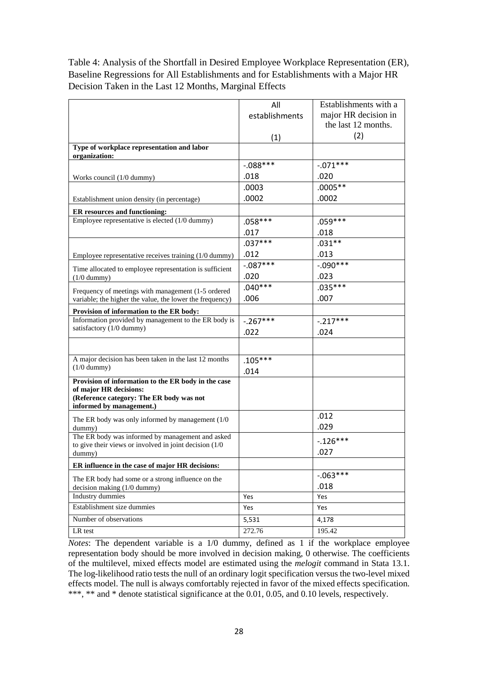Table 4: Analysis of the Shortfall in Desired Employee Workplace Representation (ER), Baseline Regressions for All Establishments and for Establishments with a Major HR Decision Taken in the Last 12 Months, Marginal Effects

|                                                                      | All            | Establishments with a |
|----------------------------------------------------------------------|----------------|-----------------------|
|                                                                      | establishments | major HR decision in  |
|                                                                      |                | the last 12 months.   |
|                                                                      | (1)            | (2)                   |
| Type of workplace representation and labor<br>organization:          |                |                       |
|                                                                      | $-.088***$     | $-.071***$            |
| Works council (1/0 dummy)                                            | .018           | .020                  |
|                                                                      | .0003          | $.0005**$             |
|                                                                      | .0002          | .0002                 |
| Establishment union density (in percentage)                          |                |                       |
| <b>ER</b> resources and functioning:                                 |                |                       |
| Employee representative is elected $(1/0$ dummy)                     | $.058***$      | $.059***$             |
|                                                                      | .017           | .018                  |
|                                                                      | $.037***$      | $.031**$              |
| Employee representative receives training (1/0 dummy)                | .012           | .013                  |
| Time allocated to employee representation is sufficient              | $-.087***$     | $-.090***$            |
| $(1/0$ dummy)                                                        | .020           | .023                  |
| Frequency of meetings with management (1-5 ordered                   | $.040***$      | $.035***$             |
| variable; the higher the value, the lower the frequency)             | .006           | .007                  |
| Provision of information to the ER body:                             |                |                       |
| Information provided by management to the ER body is                 | $-.267***$     | $-.217***$            |
| satisfactory (1/0 dummy)                                             | .022           | .024                  |
|                                                                      |                |                       |
|                                                                      |                |                       |
| A major decision has been taken in the last 12 months                | $.105***$      |                       |
| $(1/0$ dummy)                                                        | .014           |                       |
| Provision of information to the ER body in the case                  |                |                       |
| of major HR decisions:                                               |                |                       |
| (Reference category: The ER body was not<br>informed by management.) |                |                       |
|                                                                      |                | .012                  |
| The ER body was only informed by management $(1/0)$<br>dummy)        |                | .029                  |
| The ER body was informed by management and asked                     |                |                       |
| to give their views or involved in joint decision $(1/0)$            |                | $-.126***$            |
| dummy)                                                               |                | .027                  |
| ER influence in the case of major HR decisions:                      |                |                       |
| The ER body had some or a strong influence on the                    |                | $-063***$             |
| decision making (1/0 dummy)                                          |                | .018                  |
| Industry dummies                                                     | Yes            | Yes                   |
| Establishment size dummies                                           | Yes            | Yes                   |
| Number of observations                                               | 5,531          | 4,178                 |
| LR test                                                              | 272.76         | 195.42                |

*Notes*: The dependent variable is a 1/0 dummy, defined as 1 if the workplace employee representation body should be more involved in decision making, 0 otherwise. The coefficients of the multilevel, mixed effects model are estimated using the *melogit* command in Stata 13.1. The log-likelihood ratio tests the null of an ordinary logit specification versus the two-level mixed effects model. The null is always comfortably rejected in favor of the mixed effects specification. \*\*\*, \*\* and \* denote statistical significance at the 0.01, 0.05, and 0.10 levels, respectively.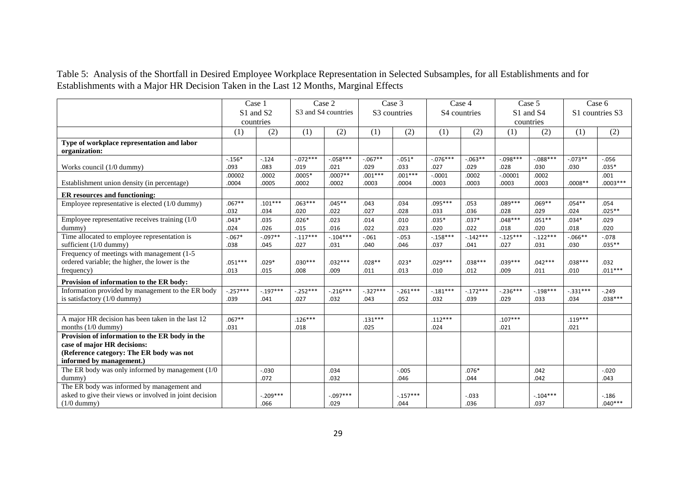Table 5: Analysis of the Shortfall in Desired Employee Workplace Representation in Selected Subsamples, for all Establishments and for Establishments with a Major HR Decision Taken in the Last 12 Months, Marginal Effects

|                                                         |             | Case 1                            |            | Case 2              |            | Case 3       |             | Case 4       |            | Case 5                            |            | Case 6          |
|---------------------------------------------------------|-------------|-----------------------------------|------------|---------------------|------------|--------------|-------------|--------------|------------|-----------------------------------|------------|-----------------|
|                                                         |             | S <sub>1</sub> and S <sub>2</sub> |            | S3 and S4 countries |            | S3 countries |             | S4 countries |            | S <sub>1</sub> and S <sub>4</sub> |            | S1 countries S3 |
|                                                         |             | countries                         |            |                     |            |              |             |              |            | countries                         |            |                 |
|                                                         | (1)         | (2)                               | (1)        | (2)                 | (1)        | (2)          | (1)         | (2)          | (1)        | (2)                               | (1)        | (2)             |
| Type of workplace representation and labor              |             |                                   |            |                     |            |              |             |              |            |                                   |            |                 |
| organization:                                           |             |                                   |            |                     |            |              |             |              |            |                                   |            |                 |
|                                                         | $-.156*$    | $-.124$                           | $-.072***$ | $-.058***$          | $-.067**$  | $-.051*$     | $-0.076***$ | $-0.063**$   | $-.098***$ | $-.088***$                        | $-0.073**$ | $-.056$         |
| Works council (1/0 dummy)                               | .093        | .083                              | .019       | .021                | .029       | .033         | .027        | .029         | .028       | .030                              | .030       | $.035*$         |
|                                                         | .00002      | .0002                             | $.0005*$   | $.0007**$           | $.001***$  | $.001***$    | $-.0001$    | .0002        | $-.00001$  | .0002                             |            | .001            |
| Establishment union density (in percentage)             | .0004       | .0005                             | .0002      | .0002               | .0003      | .0004        | .0003       | .0003        | .0003      | .0003                             | $.0008**$  | $.0003***$      |
| <b>ER</b> resources and functioning:                    |             |                                   |            |                     |            |              |             |              |            |                                   |            |                 |
| Employee representative is elected (1/0 dummy)          | $.067**$    | $.101***$                         | $.063***$  | $.045**$            | .043       | .034         | $.095***$   | .053         | $.089***$  | $.069**$                          | $.054**$   | .054            |
|                                                         | .032        | .034                              | .020       | .022                | .027       | .028         | .033        | .036         | .028       | .029                              | .024       | $.025**$        |
| Employee representative receives training (1/0)         | $.043*$     | .035                              | $.026*$    | .023                | .014       | .010         | $.035*$     | $.037*$      | $.048***$  | $.051**$                          | $.034*$    | .029            |
| dummy)                                                  | .024        | .026                              | .015       | .016                | .022       | .023         | .020        | .022         | .018       | .020                              | .018       | .020            |
| Time allocated to employee representation is            | $-.067*$    | $-0.97**$                         | $-.117***$ | $-.104***$          | $-.061$    | $-0.053$     | $-.158***$  | $-.142***$   | $-.125***$ | $-.122***$                        | $-0.066**$ | $-.078$         |
| sufficient (1/0 dummy)                                  | .038        | .045                              | .027       | .031                | .040       | .046         | .037        | .041         | .027       | .031                              | .030       | $.035**$        |
| Frequency of meetings with management (1-5)             |             |                                   |            |                     |            |              |             |              |            |                                   |            |                 |
| ordered variable; the higher, the lower is the          | $.051***$   | $.029*$                           | $.030***$  | $.032***$           | $.028**$   | $.023*$      | $.029***$   | $.038***$    | $.039***$  | $.042***$                         | $.038***$  | .032            |
| frequency)                                              | .013        | .015                              | .008       | .009                | .011       | .013         | .010        | .012         | .009       | .011                              | .010       | $.011***$       |
| Provision of information to the ER body:                |             |                                   |            |                     |            |              |             |              |            |                                   |            |                 |
| Information provided by management to the ER body       | $-0.257***$ | $-.197***$                        | $-.252***$ | $-.216***$          | $-.327***$ | $-.261***$   | $-.181***$  | $-.172***$   | $-.236***$ | $-.198***$                        | $-.331***$ | $-.249$         |
| is satisfactory (1/0 dummy)                             | .039        | .041                              | .027       | .032                | .043       | .052         | .032        | .039         | .029       | .033                              | .034       | $.038***$       |
|                                                         |             |                                   |            |                     |            |              |             |              |            |                                   |            |                 |
| A major HR decision has been taken in the last 12       | $.067**$    |                                   | $.126***$  |                     | $.131***$  |              | $.112***$   |              | $.107***$  |                                   | $.119***$  |                 |
| months $(1/0$ dummy)                                    | .031        |                                   | .018       |                     | .025       |              | .024        |              | .021       |                                   | .021       |                 |
| Provision of information to the ER body in the          |             |                                   |            |                     |            |              |             |              |            |                                   |            |                 |
| case of major HR decisions:                             |             |                                   |            |                     |            |              |             |              |            |                                   |            |                 |
| (Reference category: The ER body was not                |             |                                   |            |                     |            |              |             |              |            |                                   |            |                 |
| informed by management.)                                |             |                                   |            |                     |            |              |             |              |            |                                   |            |                 |
| The ER body was only informed by management $(1/0)$     |             | $-0.030$                          |            | .034                |            | $-0.005$     |             | $.076*$      |            | .042                              |            | $-.020$         |
| dummy)                                                  |             | .072                              |            | .032                |            | .046         |             | .044         |            | .042                              |            | .043            |
| The ER body was informed by management and              |             |                                   |            |                     |            |              |             |              |            |                                   |            |                 |
| asked to give their views or involved in joint decision |             | $-.209***$                        |            | $-.097***$          |            | $-.157***$   |             | $-.033$      |            | $-.104***$                        |            | $-0.186$        |
| $(1/0$ dummy)                                           |             | .066                              |            | .029                |            | .044         |             | .036         |            | .037                              |            | $.040***$       |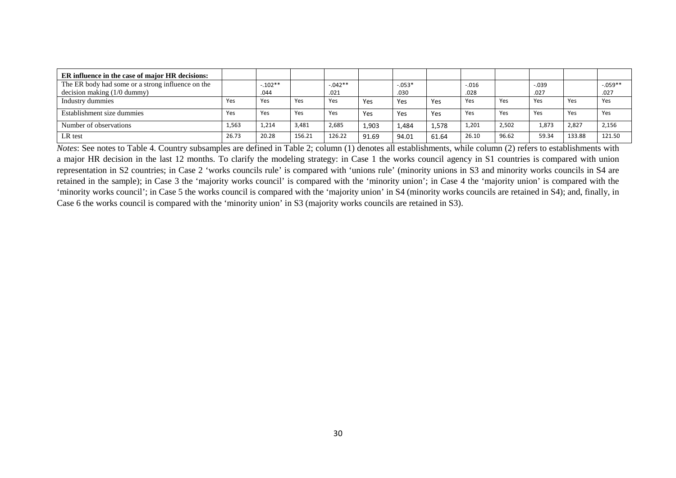| ER influence in the case of major HR decisions:   |       |           |        |           |       |          |       |         |       |         |        |            |
|---------------------------------------------------|-------|-----------|--------|-----------|-------|----------|-------|---------|-------|---------|--------|------------|
| The ER body had some or a strong influence on the |       | $-.102**$ |        | $-.042**$ |       | $-.053*$ |       | $-.016$ |       | $-.039$ |        | $-0.059**$ |
| decision making $(1/0$ dummy)                     |       | .044      |        | .021      |       | .030     |       | .028    |       | .027    |        | .027       |
| Industry dummies                                  | Yes   | Yes       | Yes    | Yes       | Yes   | Yes      | Yes   | Yes     | Yes   | Yes     | Yes    | Yes        |
| Establishment size dummies                        | Yes   | Yes       | Yes    | Yes       | Yes   | Yes      | Yes   | Yes     | Yes   | Yes     | Yes    | Yes        |
| Number of observations                            | 1,563 | 1,214     | 3,481  | 2,685     | 1.903 | 1.484    | 1,578 | 1,201   | 2,502 | 1,873   | 2,827  | 2,156      |
| LR test                                           | 26.73 | 20.28     | 156.21 | 126.22    | 91.69 | 94.01    | 61.64 | 26.10   | 96.62 | 59.34   | 133.88 | 121.50     |

*Notes*: See notes to Table 4. Country subsamples are defined in Table 2; column (1) denotes all establishments, while column (2) refers to establishments with a major HR decision in the last 12 months. To clarify the modeling strategy: in Case 1 the works council agency in S1 countries is compared with union representation in S2 countries; in Case 2 'works councils rule' is compared with 'unions rule' (minority unions in S3 and minority works councils in S4 are retained in the sample); in Case 3 the 'majority works council' is compared with the 'minority union'; in Case 4 the 'majority union' is compared with the 'minority works council'; in Case 5 the works council is compared with the 'majority union' in S4 (minority works councils are retained in S4); and, finally, in Case 6 the works council is compared with the 'minority union' in S3 (majority works councils are retained in S3).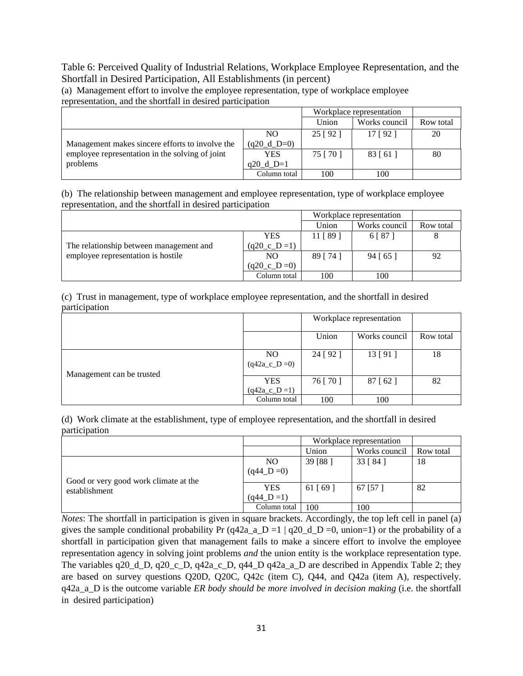#### Table 6: Perceived Quality of Industrial Relations, Workplace Employee Representation, and the Shortfall in Desired Participation, All Establishments (in percent)

(a) Management effort to involve the employee representation, type of workplace employee representation, and the shortfall in desired participation

|                                                 | Workplace representation |           |               |           |
|-------------------------------------------------|--------------------------|-----------|---------------|-----------|
|                                                 |                          | Union     | Works council | Row total |
|                                                 | NO.                      | 25 [92]   | 17 [92]       | 20        |
| Management makes sincere efforts to involve the | $(q20_d_D=0)$            |           |               |           |
| employee representation in the solving of joint | YES                      | 75 [ 70 ] | 83 [61]       | 80        |
| problems                                        | $q20 d D=1$              |           |               |           |
|                                                 | Column total             | 100       | 100           |           |

(b) The relationship between management and employee representation, type of workplace employee representation, and the shortfall in desired participation

|                                         | Workplace representation |           |               |           |
|-----------------------------------------|--------------------------|-----------|---------------|-----------|
|                                         |                          | Union     | Works council | Row total |
|                                         | <b>YES</b>               | 11 [89]   | 6   87        |           |
| The relationship between management and | $(q20_c D = 1)$          |           |               |           |
| employee representation is hostile      | NO.                      | 89 [ 74 ] | 94 [65]       | 92        |
|                                         | $(q20_c D = 0)$          |           |               |           |
|                                         | Column total             | 100       | 100           |           |

(c) Trust in management, type of workplace employee representation, and the shortfall in desired participation

|                           |                              | Workplace representation |               |           |
|---------------------------|------------------------------|--------------------------|---------------|-----------|
|                           |                              | Union                    | Works council | Row total |
| Management can be trusted | NO.<br>$(q42a_c_D=0)$        | 24 [92]                  | 13 [91]       | 18        |
|                           | <b>YES</b><br>$(q42a_c_D=1)$ | 76 [ 70 ]                | 87 [62]       | 82        |
|                           | Column total                 | 100                      | 100           |           |

(d) Work climate at the establishment, type of employee representation, and the shortfall in desired participation

|                                       |                | Workplace representation |               |           |
|---------------------------------------|----------------|--------------------------|---------------|-----------|
|                                       |                | Union                    | Works council | Row total |
|                                       | N <sub>O</sub> | 39 [88]                  | 33 [ 84 ]     | 18        |
|                                       | $(q44_D = 0)$  |                          |               |           |
| Good or very good work climate at the |                |                          |               |           |
| establishment                         | <b>YES</b>     | 61 [69]                  | 67 [57]       | 82        |
|                                       | $(q44_D = 1)$  |                          |               |           |
|                                       | Column total   | 100                      | 100           |           |

*Notes*: The shortfall in participation is given in square brackets. Accordingly, the top left cell in panel (a) gives the sample conditional probability Pr (q42a\_a\_D =1 | q20\_d\_D =0, union=1) or the probability of a shortfall in participation given that management fails to make a sincere effort to involve the employee representation agency in solving joint problems *and* the union entity is the workplace representation type. The variables q20\_d\_D, q20\_c\_D, q42a\_c\_D, q44\_D q42a\_a\_D are described in Appendix Table 2; they are based on survey questions Q20D, Q20C, Q42c (item C), Q44, and Q42a (item A), respectively. q42a\_a\_D is the outcome variable *ER body should be more involved in decision making* (i.e. the shortfall in desired participation)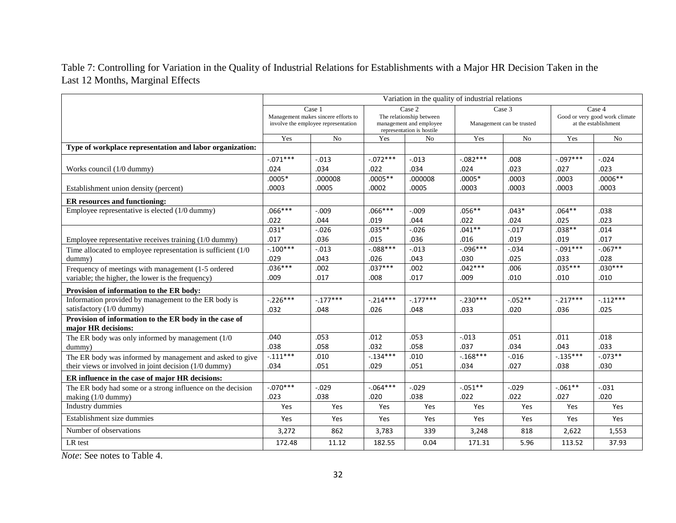Table 7: Controlling for Variation in the Quality of Industrial Relations for Establishments with a Major HR Decision Taken in the Last 12 Months, Marginal Effects

|                                                                               | Variation in the quality of industrial relations                                     |            |                                                                                            |            |                                     |                |                                                                  |                |
|-------------------------------------------------------------------------------|--------------------------------------------------------------------------------------|------------|--------------------------------------------------------------------------------------------|------------|-------------------------------------|----------------|------------------------------------------------------------------|----------------|
|                                                                               | Case 1<br>Management makes sincere efforts to<br>involve the employee representation |            | Case 2<br>The relationship between<br>management and employee<br>representation is hostile |            | Case 3<br>Management can be trusted |                | Case 4<br>Good or very good work climate<br>at the establishment |                |
|                                                                               | Yes                                                                                  | No         | Yes                                                                                        | No         | Yes                                 | N <sub>o</sub> | Yes                                                              | N <sub>o</sub> |
| Type of workplace representation and labor organization:                      |                                                                                      |            |                                                                                            |            |                                     |                |                                                                  |                |
|                                                                               | $-0.071***$                                                                          | $-.013$    | $-.072***$                                                                                 | $-.013$    | $-.082***$                          | .008           | $-.097***$                                                       | $-.024$        |
| Works council (1/0 dummy)                                                     | .024                                                                                 | .034       | .022                                                                                       | .034       | .024                                | .023           | .027                                                             | .023           |
|                                                                               | $.0005*$                                                                             | .000008    | $.0005**$                                                                                  | .000008    | $.0005*$                            | .0003          | .0003                                                            | $.0006**$      |
| Establishment union density (percent)                                         | .0003                                                                                | .0005      | .0002                                                                                      | .0005      | .0003                               | .0003          | .0003                                                            | .0003          |
| ER resources and functioning:                                                 |                                                                                      |            |                                                                                            |            |                                     |                |                                                                  |                |
| Employee representative is elected (1/0 dummy)                                | $.066***$                                                                            | $-.009$    | $.066***$                                                                                  | $-.009$    | $.056***$                           | $.043*$        | $.064**$                                                         | .038           |
|                                                                               | .022                                                                                 | .044       | .019                                                                                       | .044       | .022                                | .024           | .025                                                             | .023           |
|                                                                               | $.031*$                                                                              | $-.026$    | $.035***$                                                                                  | $-0.026$   | $.041**$                            | $-.017$        | $.038**$                                                         | .014           |
| Employee representative receives training (1/0 dummy)                         | .017                                                                                 | .036       | .015                                                                                       | .036       | .016                                | .019           | .019                                                             | .017           |
| Time allocated to employee representation is sufficient $(1/0)$               | $-.100***$                                                                           | $-.013$    | $-088***$                                                                                  | $-.013$    | $-0.096***$                         | $-.034$        | $-.091***$                                                       | $-0.67**$      |
| dummy)                                                                        | .029                                                                                 | .043       | .026                                                                                       | .043       | .030                                | .025           | .033                                                             | .028           |
| Frequency of meetings with management (1-5 ordered                            | $.036***$                                                                            | .002       | $.037***$                                                                                  | .002       | $.042***$                           | .006           | $.035***$                                                        | $.030***$      |
| variable; the higher, the lower is the frequency)                             | .009                                                                                 | .017       | .008                                                                                       | .017       | .009                                | .010           | .010                                                             | .010           |
| Provision of information to the ER body:                                      |                                                                                      |            |                                                                                            |            |                                     |                |                                                                  |                |
| Information provided by management to the ER body is                          | $-.226***$                                                                           | $-.177***$ | $-.214***$                                                                                 | $-.177***$ | $-.230***$                          | $-.052**$      | $-.217***$                                                       | $-.112***$     |
| satisfactory (1/0 dummy)                                                      | .032                                                                                 | .048       | .026                                                                                       | .048       | .033                                | .020           | .036                                                             | .025           |
| Provision of information to the ER body in the case of<br>major HR decisions: |                                                                                      |            |                                                                                            |            |                                     |                |                                                                  |                |
| The ER body was only informed by management $(1/0)$                           | .040                                                                                 | .053       | .012                                                                                       | .053       | $-.013$                             | .051           | .011                                                             | .018           |
| dummy)                                                                        | .038                                                                                 | .058       | .032                                                                                       | .058       | .037                                | .034           | .043                                                             | .033           |
| The ER body was informed by management and asked to give                      | $-.111***$                                                                           | .010       | $-.134***$                                                                                 | .010       | $-.168***$                          | $-.016$        | $-.135***$                                                       | $-.073**$      |
| their views or involved in joint decision (1/0 dummy)                         | .034                                                                                 | .051       | .029                                                                                       | .051       | .034                                | .027           | .038                                                             | .030           |
| ER influence in the case of major HR decisions:                               |                                                                                      |            |                                                                                            |            |                                     |                |                                                                  |                |
| The ER body had some or a strong influence on the decision                    | $-0.070***$                                                                          | $-.029$    | $-.064***$                                                                                 | $-0.029$   | $-.051**$                           | $-.029$        | $-.061**$                                                        | $-.031$        |
| making (1/0 dummy)                                                            | .023                                                                                 | .038       | .020                                                                                       | .038       | .022                                | .022           | .027                                                             | .020           |
| Industry dummies                                                              | Yes                                                                                  | Yes        | Yes                                                                                        | Yes        | Yes                                 | Yes            | Yes                                                              | Yes            |
| Establishment size dummies                                                    | Yes                                                                                  | Yes        | Yes                                                                                        | Yes        | Yes                                 | Yes            | Yes                                                              | Yes            |
| Number of observations                                                        | 3,272                                                                                | 862        | 3,783                                                                                      | 339        | 3,248                               | 818            | 2,622                                                            | 1,553          |
| LR test                                                                       | 172.48                                                                               | 11.12      | 182.55                                                                                     | 0.04       | 171.31                              | 5.96           | 113.52                                                           | 37.93          |

*Note*: See notes to Table 4.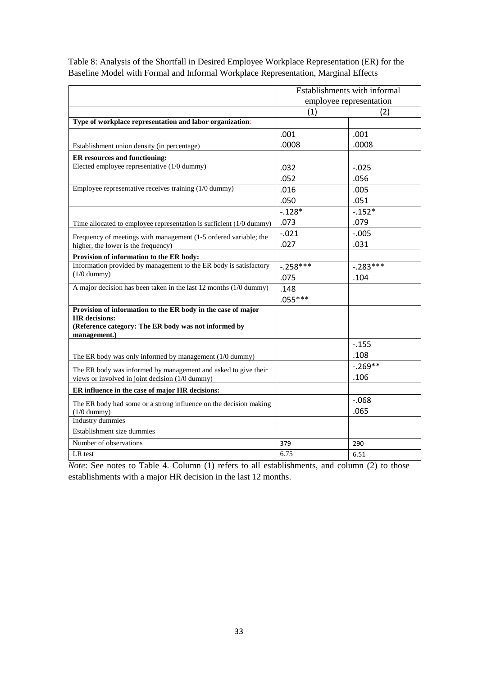|                                                                              | Establishments with informal |            |  |
|------------------------------------------------------------------------------|------------------------------|------------|--|
|                                                                              | employee representation      |            |  |
|                                                                              | (1)                          | (2)        |  |
| Type of workplace representation and labor organization:                     |                              |            |  |
|                                                                              | .001                         | .001       |  |
| Establishment union density (in percentage)                                  | .0008                        | .0008      |  |
| ER resources and functioning:                                                |                              |            |  |
| Elected employee representative (1/0 dummy)                                  | .032                         | $-0.025$   |  |
|                                                                              | .052                         | .056       |  |
| Employee representative receives training (1/0 dummy)                        | .016                         | .005       |  |
|                                                                              | .050                         | .051       |  |
|                                                                              | $-.128*$                     | $-0.152*$  |  |
| Time allocated to employee representation is sufficient $(1/0$ dummy)        | .073                         | .079       |  |
| Frequency of meetings with management (1-5 ordered variable; the             | $-.021$                      | $-.005$    |  |
| higher, the lower is the frequency)                                          | .027                         | .031       |  |
| Provision of information to the ER body:                                     |                              |            |  |
| Information provided by management to the ER body is satisfactory            | $-.258***$                   | $-.283***$ |  |
| $(1/0$ dummy)                                                                | .075                         | .104       |  |
| A major decision has been taken in the last 12 months (1/0 dummy)            | .148                         |            |  |
|                                                                              | $.055***$                    |            |  |
| Provision of information to the ER body in the case of major                 |                              |            |  |
| <b>HR</b> decisions:<br>(Reference category: The ER body was not informed by |                              |            |  |
| management.)                                                                 |                              |            |  |
|                                                                              |                              | $-.155$    |  |
| The ER body was only informed by management (1/0 dummy)                      |                              | .108       |  |
| The ER body was informed by management and asked to give their               |                              | $-.269**$  |  |
| views or involved in joint decision (1/0 dummy)                              |                              | .106       |  |
| ER influence in the case of major HR decisions:                              |                              |            |  |
| The ER body had some or a strong influence on the decision making            |                              | $-0.068$   |  |
| $(1/0$ dummy)                                                                |                              | .065       |  |
| Industry dummies                                                             |                              |            |  |
| Establishment size dummies                                                   |                              |            |  |
| Number of observations                                                       | 379                          | 290        |  |
| LR test                                                                      | 6.75                         | 6.51       |  |

Table 8: Analysis of the Shortfall in Desired Employee Workplace Representation (ER) for the Baseline Model with Formal and Informal Workplace Representation, Marginal Effects

*Note*: See notes to Table 4. Column (1) refers to all establishments, and column (2) to those establishments with a major HR decision in the last 12 months.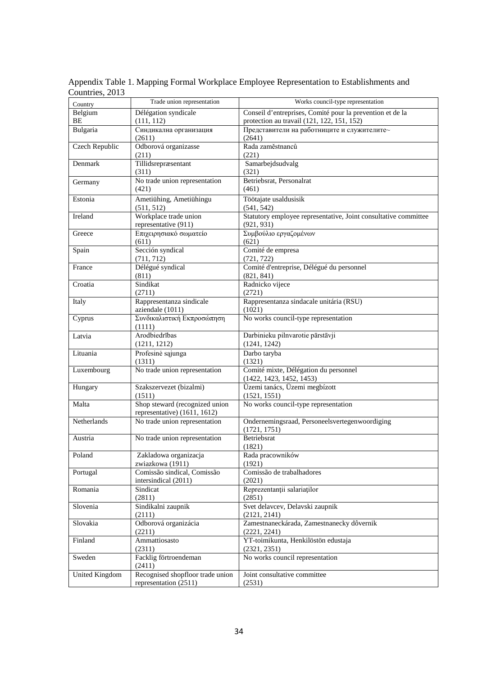| Country        | Trade union representation        | Works council-type representation                               |
|----------------|-----------------------------------|-----------------------------------------------------------------|
| Belgium        | Délégation syndicale              | Conseil d'entreprises, Comité pour la prevention et de la       |
| BE             | (111, 112)                        | protection au travail (121, 122, 151, 152)                      |
| Bulgaria       | Синдикална организация            | Представители на работниците и служителите~                     |
|                | (2611)                            | (2641)                                                          |
| Czech Republic | Odborová organizasse              | Rada zaměstnanců                                                |
|                | (211)                             | (221)                                                           |
| Denmark        | Tillidsrepræsentant               | Samarbejdsudvalg                                                |
|                | (311)                             | (321)                                                           |
| Germany        | No trade union representation     | Betriebsrat, Personalrat                                        |
|                | (421)                             | (461)                                                           |
| Estonia        | Ametiühing, Ametiühingu           | Töötajate usaldusisik                                           |
|                | (511, 512)                        | (541, 542)                                                      |
| Ireland        | Workplace trade union             | Statutory employee representative, Joint consultative committee |
|                | representative (911)              | (921, 931)                                                      |
| Greece         | Επιχειρησιακό σωματείο<br>(611)   | Συμβούλιο εργαζομένων<br>(621)                                  |
| Spain          | Sección syndical                  | Comité de empresa                                               |
|                | (711, 712)                        | (721, 722)                                                      |
| France         | Délégué syndical                  | Comité d'entreprise, Délégué du personnel                       |
|                | (811)                             | (821, 841)                                                      |
| Croatia        | Sindikat                          | Radnicko vijece                                                 |
|                | (2711)                            | (2721)                                                          |
| Italy          | Rappresentanza sindicale          | Rappresentanza sindacale unitária (RSU)                         |
|                | aziendale (1011)                  | (1021)                                                          |
| Cyprus         | Συνδικαλιστική Εκπροσώπηση        | No works council-type representation                            |
|                | (1111)                            |                                                                 |
| Latvia         | Arodbiedrības                     | Darbinieku pilnvarotie pārstāvji                                |
|                | (1211, 1212)                      | (1241, 1242)                                                    |
| Lituania       | Profesinė sąjunga                 | Darbo taryba                                                    |
|                | (1311)                            | (1321)                                                          |
| Luxembourg     | No trade union representation     | Comité mixte, Délégation du personnel                           |
|                |                                   | (1422, 1423, 1452, 1453)<br>Üzemi tanács, Üzemi megbízott       |
| Hungary        | Szakszervezet (bizalmi)<br>(1511) | (1521, 1551)                                                    |
| Malta          | Shop steward (recognized union    | No works council-type representation                            |
|                | representative) (1611, 1612)      |                                                                 |
| Netherlands    | No trade union representation     | Ondernemingsraad, Personeelsvertegenwoordiging                  |
|                |                                   | (1721, 1751)                                                    |
| Austria        | No trade union representation     | Betriebsrat                                                     |
|                |                                   | (1821)                                                          |
| Poland         | Zakladowa organizacja             | Rada pracowników                                                |
|                | zwiazkowa (1911)                  | (1921)                                                          |
| Portugal       | Comissão sindical, Comissão       | Comissão de trabalhadores                                       |
|                | intersindical (2011)              | (2021)                                                          |
| Romania        | Sindicat                          | Reprezentanții salariaților                                     |
|                | (2811)                            | (2851)                                                          |
| Slovenia       | Sindikalni zaupnik<br>(2111)      | Svet delavcev, Delavski zaupnik<br>(2121, 2141)                 |
| Slovakia       | Odborová organizácia              | Zamestnaneckárada, Zamestnanecky dôvernik                       |
|                | (2211)                            | (2221, 2241)                                                    |
| Finland        | Ammattiosasto                     | YT-toimikunta, Henkilöstön edustaja                             |
|                | (2311)                            | (2321, 2351)                                                    |
| Sweden         | Facklig förtroendeman             | No works council representation                                 |
|                | (2411)                            |                                                                 |
| United Kingdom | Recognised shopfloor trade union  | Joint consultative committee                                    |
|                | representation (2511)             | (2531)                                                          |

Appendix Table 1. Mapping Formal Workplace Employee Representation to Establishments and Countries, 2013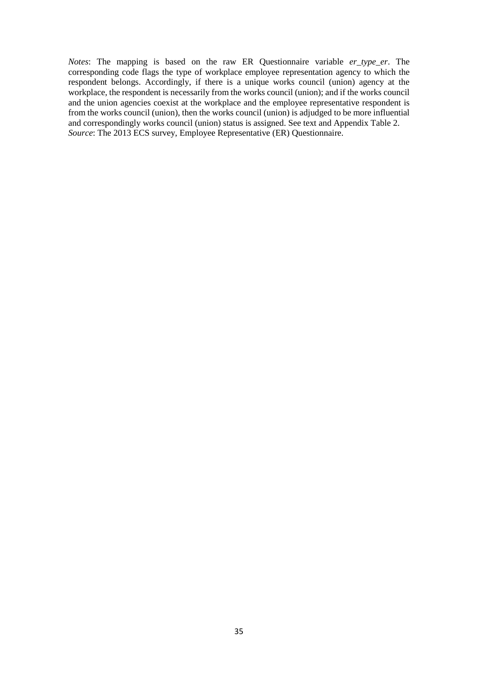*Notes*: The mapping is based on the raw ER Questionnaire variable *er\_type\_er*. The corresponding code flags the type of workplace employee representation agency to which the respondent belongs. Accordingly, if there is a unique works council (union) agency at the workplace, the respondent is necessarily from the works council (union); and if the works council and the union agencies coexist at the workplace and the employee representative respondent is from the works council (union), then the works council (union) is adjudged to be more influential and correspondingly works council (union) status is assigned. See text and Appendix Table 2. *Source*: The 2013 ECS survey, Employee Representative (ER) Questionnaire.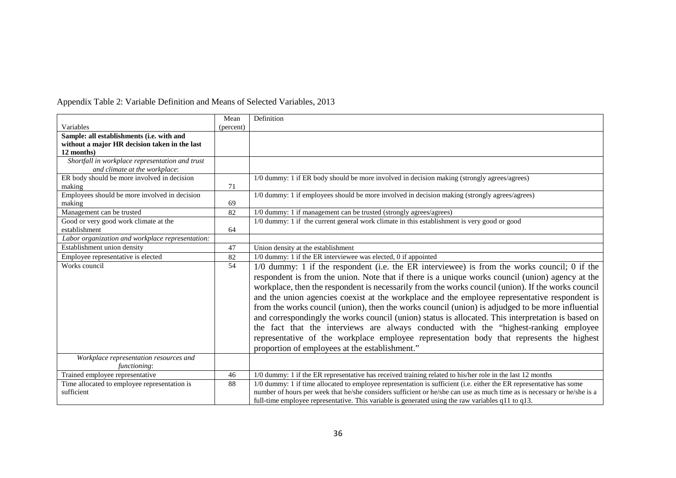### Appendix Table 2: Variable Definition and Means of Selected Variables, 2013

|                                                  | Mean      | Definition                                                                                                              |
|--------------------------------------------------|-----------|-------------------------------------------------------------------------------------------------------------------------|
| Variables                                        | (percent) |                                                                                                                         |
| Sample: all establishments (i.e. with and        |           |                                                                                                                         |
| without a major HR decision taken in the last    |           |                                                                                                                         |
| 12 months)                                       |           |                                                                                                                         |
| Shortfall in workplace representation and trust  |           |                                                                                                                         |
| and climate at the workplace:                    |           |                                                                                                                         |
| ER body should be more involved in decision      |           | 1/0 dummy: 1 if ER body should be more involved in decision making (strongly agrees/agrees)                             |
| making                                           | 71        |                                                                                                                         |
| Employees should be more involved in decision    |           | 1/0 dummy: 1 if employees should be more involved in decision making (strongly agrees/agrees)                           |
| making                                           | 69        |                                                                                                                         |
| Management can be trusted                        | 82        | 1/0 dummy: 1 if management can be trusted (strongly agrees/agrees)                                                      |
| Good or very good work climate at the            |           | 1/0 dummy: 1 if the current general work climate in this establishment is very good or good                             |
| establishment                                    | 64        |                                                                                                                         |
| Labor organization and workplace representation: |           |                                                                                                                         |
| Establishment union density                      | 47        | Union density at the establishment                                                                                      |
| Employee representative is elected               | 82        | 1/0 dummy: 1 if the ER interviewee was elected, 0 if appointed                                                          |
| Works council                                    | 54        | 1/0 dummy: 1 if the respondent (i.e. the ER interviewee) is from the works council; 0 if the                            |
|                                                  |           | respondent is from the union. Note that if there is a unique works council (union) agency at the                        |
|                                                  |           | workplace, then the respondent is necessarily from the works council (union). If the works council                      |
|                                                  |           | and the union agencies coexist at the workplace and the employee representative respondent is                           |
|                                                  |           |                                                                                                                         |
|                                                  |           | from the works council (union), then the works council (union) is adjudged to be more influential                       |
|                                                  |           | and correspondingly the works council (union) status is allocated. This interpretation is based on                      |
|                                                  |           | the fact that the interviews are always conducted with the "highest-ranking employee"                                   |
|                                                  |           | representative of the workplace employee representation body that represents the highest                                |
|                                                  |           | proportion of employees at the establishment."                                                                          |
| Workplace representation resources and           |           |                                                                                                                         |
| functioning:                                     |           |                                                                                                                         |
| Trained employee representative                  | 46        | 1/0 dummy: 1 if the ER representative has received training related to his/her role in the last 12 months               |
| Time allocated to employee representation is     | 88        | 1/0 dummy: 1 if time allocated to employee representation is sufficient (i.e. either the ER representative has some     |
| sufficient                                       |           | number of hours per week that he/she considers sufficient or he/she can use as much time as is necessary or he/she is a |
|                                                  |           | full-time employee representative. This variable is generated using the raw variables q11 to q13.                       |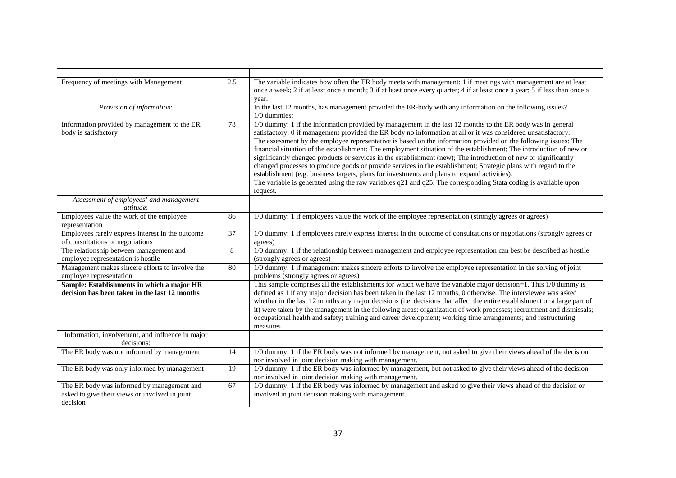| Frequency of meetings with Management                                                                    | 2.5 | The variable indicates how often the ER body meets with management: 1 if meetings with management are at least<br>once a week; 2 if at least once a month; 3 if at least once every quarter; 4 if at least once a year; 5 if less than once a<br>year.                                                                                                                                                                                                                                                                                                                                                                                                                                                                                                                                                                                                                                                                                          |
|----------------------------------------------------------------------------------------------------------|-----|-------------------------------------------------------------------------------------------------------------------------------------------------------------------------------------------------------------------------------------------------------------------------------------------------------------------------------------------------------------------------------------------------------------------------------------------------------------------------------------------------------------------------------------------------------------------------------------------------------------------------------------------------------------------------------------------------------------------------------------------------------------------------------------------------------------------------------------------------------------------------------------------------------------------------------------------------|
| Provision of information:                                                                                |     | In the last 12 months, has management provided the ER-body with any information on the following issues?<br>1/0 dummies:                                                                                                                                                                                                                                                                                                                                                                                                                                                                                                                                                                                                                                                                                                                                                                                                                        |
| Information provided by management to the ER<br>body is satisfactory                                     | 78  | 1/0 dummy: 1 if the information provided by management in the last 12 months to the ER body was in general<br>satisfactory; 0 if management provided the ER body no information at all or it was considered unsatisfactory.<br>The assessment by the employee representative is based on the information provided on the following issues: The<br>financial situation of the establishment; The employment situation of the establishment; The introduction of new or<br>significantly changed products or services in the establishment (new); The introduction of new or significantly<br>changed processes to produce goods or provide services in the establishment; Strategic plans with regard to the<br>establishment (e.g. business targets, plans for investments and plans to expand activities).<br>The variable is generated using the raw variables $q21$ and $q25$ . The corresponding Stata coding is available upon<br>request. |
| Assessment of employees' and management<br>attitude:                                                     |     |                                                                                                                                                                                                                                                                                                                                                                                                                                                                                                                                                                                                                                                                                                                                                                                                                                                                                                                                                 |
| Employees value the work of the employee<br>representation                                               | 86  | 1/0 dummy: 1 if employees value the work of the employee representation (strongly agrees or agrees)                                                                                                                                                                                                                                                                                                                                                                                                                                                                                                                                                                                                                                                                                                                                                                                                                                             |
| Employees rarely express interest in the outcome<br>of consultations or negotiations                     | 37  | 1/0 dummy: 1 if employees rarely express interest in the outcome of consultations or negotiations (strongly agrees or<br>agrees)                                                                                                                                                                                                                                                                                                                                                                                                                                                                                                                                                                                                                                                                                                                                                                                                                |
| The relationship between management and<br>employee representation is hostile                            | 8   | 1/0 dummy: 1 if the relationship between management and employee representation can best be described as hostile<br>(strongly agrees or agrees)                                                                                                                                                                                                                                                                                                                                                                                                                                                                                                                                                                                                                                                                                                                                                                                                 |
| Management makes sincere efforts to involve the<br>employee representation                               | 80  | 1/0 dummy: 1 if management makes sincere efforts to involve the employee representation in the solving of joint<br>problems (strongly agrees or agrees)                                                                                                                                                                                                                                                                                                                                                                                                                                                                                                                                                                                                                                                                                                                                                                                         |
| Sample: Establishments in which a major HR<br>decision has been taken in the last 12 months              |     | This sample comprises all the establishments for which we have the variable major decision=1. This 1/0 dummy is<br>defined as 1 if any major decision has been taken in the last 12 months, 0 otherwise. The interviewee was asked<br>whether in the last 12 months any major decisions (i.e. decisions that affect the entire establishment or a large part of<br>it) were taken by the management in the following areas: organization of work processes; recruitment and dismissals;<br>occupational health and safety; training and career development; working time arrangements; and restructuring<br>measures                                                                                                                                                                                                                                                                                                                            |
| Information, involvement, and influence in major<br>decisions:                                           |     |                                                                                                                                                                                                                                                                                                                                                                                                                                                                                                                                                                                                                                                                                                                                                                                                                                                                                                                                                 |
| The ER body was not informed by management                                                               | 14  | 1/0 dummy: 1 if the ER body was not informed by management, not asked to give their views ahead of the decision<br>nor involved in joint decision making with management.                                                                                                                                                                                                                                                                                                                                                                                                                                                                                                                                                                                                                                                                                                                                                                       |
| The ER body was only informed by management                                                              | 19  | 1/0 dummy: 1 if the ER body was informed by management, but not asked to give their views ahead of the decision<br>nor involved in joint decision making with management.                                                                                                                                                                                                                                                                                                                                                                                                                                                                                                                                                                                                                                                                                                                                                                       |
| The ER body was informed by management and<br>asked to give their views or involved in joint<br>decision | 67  | 1/0 dummy: 1 if the ER body was informed by management and asked to give their views ahead of the decision or<br>involved in joint decision making with management.                                                                                                                                                                                                                                                                                                                                                                                                                                                                                                                                                                                                                                                                                                                                                                             |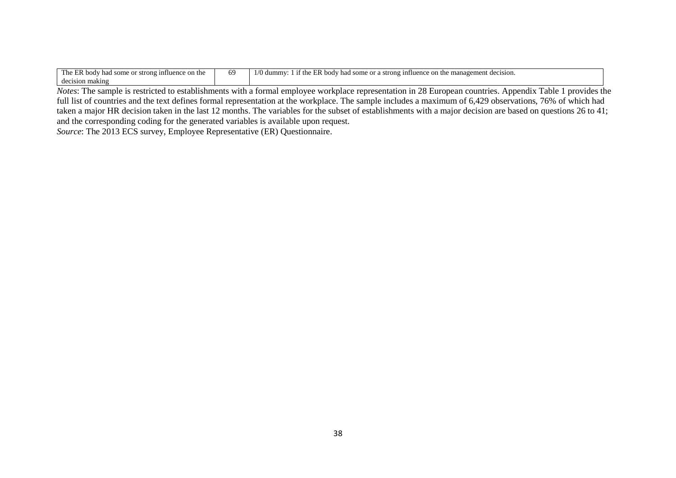| $\sim$<br>$\overline{\phantom{a}}$<br>The<br>: on the<br>influence<br>strong<br>some<br>body<br> | 'nч | $\sim$<br>$\cdot$<br>dummy<br>mana<br>agement decision.<br>influence<br>ER body<br>some<br>strong<br>Ωr<br>had<br>1 I I<br>on the<br>. . <i>. .</i> |
|--------------------------------------------------------------------------------------------------|-----|-----------------------------------------------------------------------------------------------------------------------------------------------------|
| decision making                                                                                  |     |                                                                                                                                                     |

*Notes*: The sample is restricted to establishments with a formal employee workplace representation in 28 European countries. Appendix Table 1 provides the full list of countries and the text defines formal representation at the workplace. The sample includes a maximum of 6,429 observations, 76% of which had taken a major HR decision taken in the last 12 months. The variables for the subset of establishments with a major decision are based on questions 26 to 41; and the corresponding coding for the generated variables is available upon request.

*Source*: The 2013 ECS survey, Employee Representative (ER) Questionnaire.